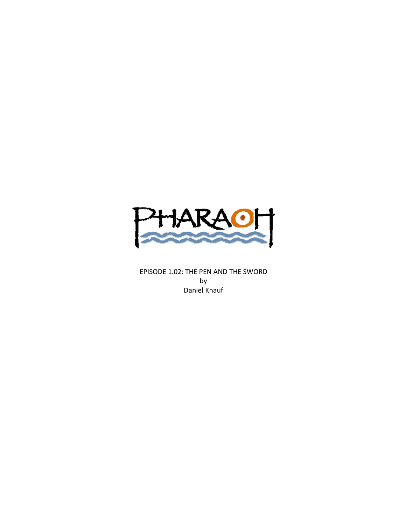

EPISODE 1.02: THE PEN AND THE SWORD by Daniel Knauf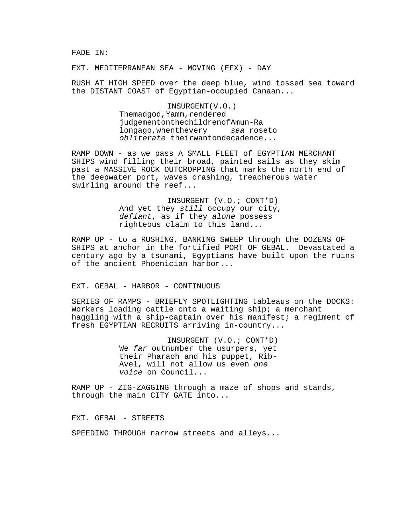FADE IN:

EXT. MEDITERRANEAN SEA - MOVING (EFX) - DAY

RUSH AT HIGH SPEED over the deep blue, wind tossed sea toward the DISTANT COAST of Egyptian-occupied Canaan...

> INSURGENT
> (V.O.) The
> mad
> god,
> Yamm,
> rendered judgement
> on
> the
> children
> of
> Amun-Ra long
> ago,
> when
> the
> very sea rose
> to obliterate their
> wanton
> decadence...

RAMP DOWN - as we pass A SMALL FLEET of EGYPTIAN MERCHANT SHIPS wind filling their broad, painted sails as they skim past a MASSIVE ROCK OUTCROPPING that marks the north end of the deepwater port, waves crashing, treacherous water swirling around the reef...

> INSURGENT (V.O.; CONT'D) And yet they still occupy our city, defiant, as if they alone possess righteous claim to this land...

RAMP UP - to a RUSHING, BANKING SWEEP through the DOZENS OF SHIPS at anchor in the fortified PORT OF GEBAL. Devastated a century ago by a tsunami, Egyptians have built upon the ruins of the ancient Phoenician harbor...

EXT. GEBAL - HARBOR - CONTINUOUS

SERIES OF RAMPS - BRIEFLY SPOTLIGHTING tableaus on the DOCKS: Workers loading cattle onto a waiting ship; a merchant haggling with a ship-captain over his manifest; a regiment of fresh EGYPTIAN RECRUITS arriving in-country...

> INSURGENT (V.O.; CONT'D) We far outnumber the usurpers, yet their Pharaoh and his puppet, Rib-Avel, will not allow us even one voice on Council...

RAMP UP - ZIG-ZAGGING through a maze of shops and stands, through the main CITY GATE into...

EXT. GEBAL - STREETS

SPEEDING THROUGH narrow streets and alleys...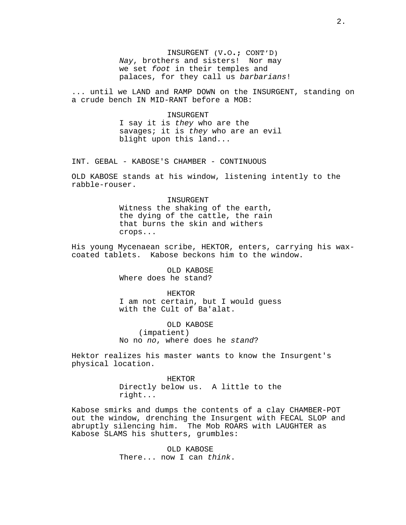INSURGENT (V.O.; CONT'D) Nay, brothers and sisters! Nor may we set foot in their temples and palaces, for they call us barbarians!

... until we LAND and RAMP DOWN on the INSURGENT, standing on a crude bench IN MID-RANT before a MOB:

> INSURGENT I say it is they who are the savages; it is they who are an evil blight upon this land...

INT. GEBAL - KABOSE'S CHAMBER - CONTINUOUS

OLD KABOSE stands at his window, listening intently to the rabble-rouser.

> **INSURGENT** Witness the shaking of the earth, the dying of the cattle, the rain that burns the skin and withers crops...

His young Mycenaean scribe, HEKTOR, enters, carrying his waxcoated tablets. Kabose beckons him to the window.

> OLD KABOSE Where does he stand?

> > HEKTOR

I am not certain, but I would guess with the Cult of Ba'alat.

OLD KABOSE (impatient) No no no, where does he stand?

Hektor realizes his master wants to know the Insurgent's physical location.

> HEKTOR Directly below us. A little to the right...

Kabose smirks and dumps the contents of a clay CHAMBER-POT out the window, drenching the Insurgent with FECAL SLOP and abruptly silencing him. The Mob ROARS with LAUGHTER as Kabose SLAMS his shutters, grumbles:

> OLD KABOSE There... now I can think.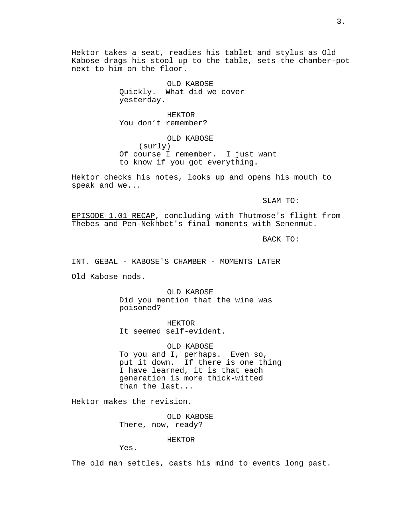Hektor takes a seat, readies his tablet and stylus as Old Kabose drags his stool up to the table, sets the chamber-pot next to him on the floor.

> OLD KABOSE Quickly. What did we cover yesterday.

HEKTOR You don't remember?

OLD KABOSE (surly) Of course I remember. I just want to know if you got everything.

Hektor checks his notes, looks up and opens his mouth to speak and we...

SLAM TO:

EPISODE 1.01 RECAP, concluding with Thutmose's flight from Thebes and Pen-Nekhbet's final moments with Senenmut.

BACK TO:

INT. GEBAL - KABOSE'S CHAMBER - MOMENTS LATER

Old Kabose nods.

OLD KABOSE Did you mention that the wine was poisoned?

HEKTOR It seemed self-evident.

OLD KABOSE To you and I, perhaps. Even so, put it down. If there is one thing I have learned, it is that each generation is more thick-witted than the last...

Hektor makes the revision.

OLD KABOSE There, now, ready?

HEKTOR

Yes.

The old man settles, casts his mind to events long past.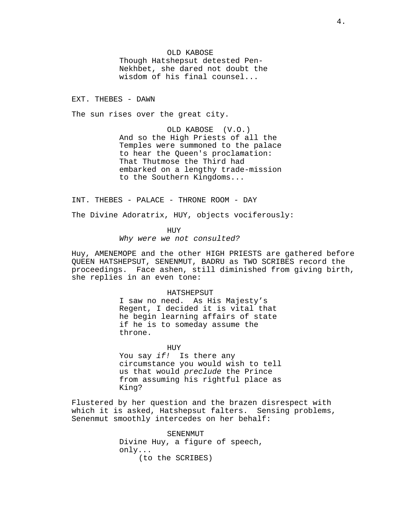OLD KABOSE Though Hatshepsut detested Pen-Nekhbet, she dared not doubt the wisdom of his final counsel...

EXT. THEBES - DAWN

The sun rises over the great city.

OLD KABOSE (V.O.) And so the High Priests of all the Temples were summoned to the palace to hear the Queen's proclamation: That Thutmose the Third had embarked on a lengthy trade-mission to the Southern Kingdoms...

INT. THEBES - PALACE - THRONE ROOM - DAY

The Divine Adoratrix, HUY, objects vociferously:

HUY Why were we not consulted?

Huy, AMENEMOPE and the other HIGH PRIESTS are gathered before QUEEN HATSHEPSUT, SENENMUT, BADRU as TWO SCRIBES record the proceedings. Face ashen, still diminished from giving birth, she replies in an even tone:

### HATSHEPSUT

I saw no need. As His Majesty's Regent, I decided it is vital that he begin learning affairs of state if he is to someday assume the throne.

HUY You say if! Is there any circumstance you would wish to tell us that would preclude the Prince from assuming his rightful place as King?

Flustered by her question and the brazen disrespect with which it is asked, Hatshepsut falters. Sensing problems, Senenmut smoothly intercedes on her behalf:

> SENENMUT Divine Huy, a figure of speech, only... (to the SCRIBES)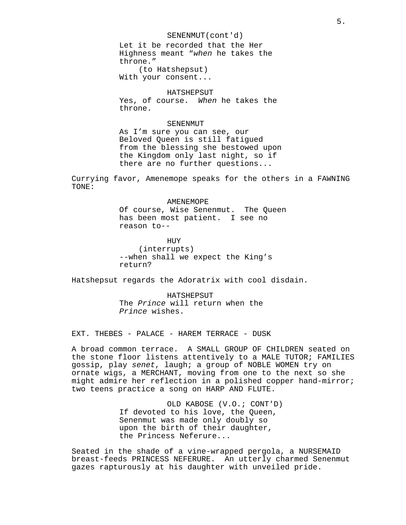SENENMUT(cont'd) Let it be recorded that the Her Highness meant "when he takes the

throne." (to Hatshepsut)

With your consent...

### HATSHEPSUT

Yes, of course. When he takes the throne.

# SENENMUT

As I'm sure you can see, our Beloved Queen is still fatigued from the blessing she bestowed upon the Kingdom only last night, so if there are no further questions...

Currying favor, Amenemope speaks for the others in a FAWNING TONE:

### AMENEMOPE

Of course, Wise Senenmut. The Queen has been most patient. I see no reason to--

HUY (interrupts) --when shall we expect the King's return?

Hatshepsut regards the Adoratrix with cool disdain.

HATSHEPSUT The Prince will return when the Prince wishes.

EXT. THEBES - PALACE - HAREM TERRACE - DUSK

A broad common terrace. A SMALL GROUP OF CHILDREN seated on the stone floor listens attentively to a MALE TUTOR; FAMILIES gossip, play senet, laugh; a group of NOBLE WOMEN try on ornate wigs, a MERCHANT, moving from one to the next so she might admire her reflection in a polished copper hand-mirror; two teens practice a song on HARP AND FLUTE.

> OLD KABOSE (V.O.; CONT'D) If devoted to his love, the Queen, Senenmut was made only doubly so upon the birth of their daughter, the Princess Neferure...

Seated in the shade of a vine-wrapped pergola, a NURSEMAID breast-feeds PRINCESS NEFERURE. An utterly charmed Senenmut gazes rapturously at his daughter with unveiled pride.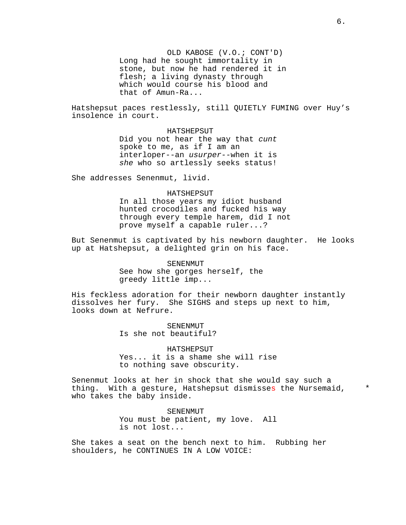OLD KABOSE (V.O.; CONT'D) Long had he sought immortality in stone, but now he had rendered it in flesh; a living dynasty through which would course his blood and that of Amun-Ra...

Hatshepsut paces restlessly, still QUIETLY FUMING over Huy's insolence in court.

### HATSHEPSUT

Did you not hear the way that cunt spoke to me, as if I am an interloper--an usurper--when it is she who so artlessly seeks status!

She addresses Senenmut, livid.

### HATSHEPSUT

In all those years my idiot husband hunted crocodiles and fucked his way through every temple harem, did I not prove myself a capable ruler...?

But Senenmut is captivated by his newborn daughter. He looks up at Hatshepsut, a delighted grin on his face.

> SENENMUT See how she gorges herself, the greedy little imp...

His feckless adoration for their newborn daughter instantly dissolves her fury. She SIGHS and steps up next to him, looks down at Nefrure.

> SENENMUT Is she not beautiful?

HATSHEPSUT Yes... it is a shame she will rise to nothing save obscurity.

Senenmut looks at her in shock that she would say such a thing. With a gesture, Hatshepsut dismisses the Nursemaid, \* who takes the baby inside.

> SENENMUT You must be patient, my love. All is not lost...

She takes a seat on the bench next to him. Rubbing her shoulders, he CONTINUES IN A LOW VOICE: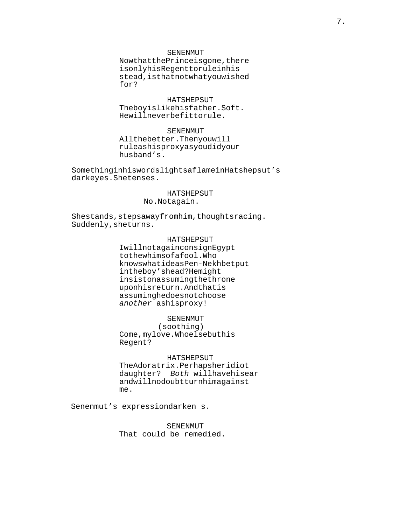### SENENMUT

Now
that
the
Prince
is
gone,
there is
only
his
Regent
to
rule
in
his stead,
is
that
not
what
you
wished for?

# HATSHEPSUT

The boy is like his father. Soft. He
will
never
be
fit
to
rule.

### SENENMUT

All
the
better.

Then
you
will rule
as
his
proxy
as
you
did
your husband's.

Something
in
his
words
lights
a
flame
in
Hatshepsut's dark
eyes.

She
tenses.

# HATSHEPSUT

No.

Not
again.

She
stands,
steps
away
from
him,
thoughts
racing. Suddenly,
she
turns.

# HATSHEPSUT

I
will
not
again
consign
Egypt to the whims of a fool. Who knows
what
ideas
Pen-Nekhbet
put in
the
boy's
head?

He
might insist
on
assuming
the
throne upon
his
return.

And
that
is assuming
he
does
not
choose another as
his
proxy!

# SENENMUT

(soothing) Come,
my
love.

Who
else
but
his Regent?

### HATSHEPSUT

The
Adoratrix.

Perhaps
her
idiot daughter? Both will
have
his
ear and
will
no
doubt
turn
him
against me.

Senenmut's expression
darkens.

SENENMUT That could be remedied.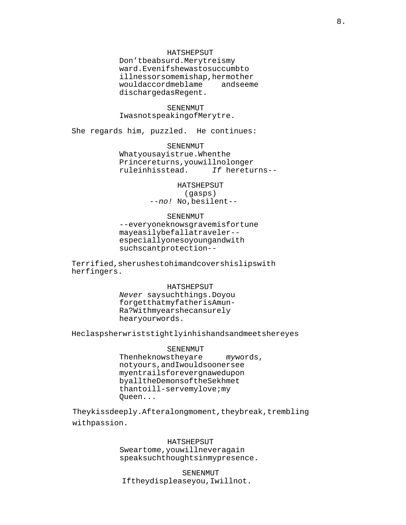### HATSHEPSUT

Don't
be
absurd.

Merytre
is
my ward.

Even
if
she
was
to
succumb
to illness
or
some
mishap,
her
mother would
accord
me
blame and
see
me discharged
as
Regent.

SENENMUT I
was
not
speaking
of
Merytre.

She regards him, puzzled. He continues:

SENENMUT What you say is true. When the Prince
returns,
you
will
no
longer rule
in
his
stead. If he
returns--

> HATSHEPSUT (gasps) --no! No, be silent--

### SENENMUT

--everyone
knows
grave
misfortune may
easily
befall
a
traveler- especially
one
so
young
and
with such
scant
protection--

Terrified,
she
rushes
to
him
and
covers
his
lips
with her
fingers.

HATSHEPSUT

Never say such things. Do you forget
that
my
father
is
Amun-Ra?

With
my
ears
he
can
surely hear
your
words.

He
clasps
her
wrists
tightly
in
his
hands
and
meets
her
eyes

SENENMUT Then he knows they are my words, not
yours,
and
I
would
sooner
see my
entrails
forever
gnawed
upon by
all
the
Demons
of
the
Sekhmet than to ill-serve my love; my Queen...

They
kiss
deeply.

After
a
long
moment,
they
break,
trembling with
passion.

> HATSHEPSUT Swear
> to
> me,
> you
> will
> never
> again speak
> such
> thoughts
> in
> my
> presence.

SENENMUT If they displease you, I will not.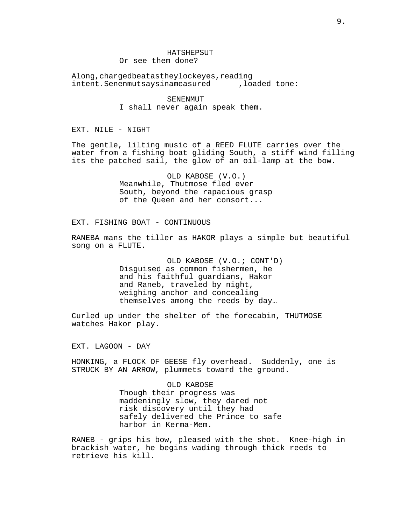### **HATSHEPSUT**

Or see them done?

A
long,
charged
beat
as
they
lock
eyes,
reading intent. Senenmut says in a measured, loaded tone:

> SENENMUT I shall never again speak them.

EXT. NILE - NIGHT

The gentle, lilting music of a REED FLUTE carries over the water from a fishing boat gliding South, a stiff wind filling its the patched sail, the glow of an oil-lamp at the bow.

> OLD KABOSE (V.O.) Meanwhile, Thutmose fled ever South, beyond the rapacious grasp of the Queen and her consort...

EXT. FISHING BOAT - CONTINUOUS

RANEBA mans the tiller as HAKOR plays a simple but beautiful song on a FLUTE.

> OLD KABOSE (V.O.; CONT'D) Disguised as common fishermen, he and his faithful guardians, Hakor and Raneb, traveled by night, weighing anchor and concealing themselves among the reeds by day…

Curled up under the shelter of the forecabin, THUTMOSE watches Hakor play.

EXT. LAGOON - DAY

HONKING, a FLOCK OF GEESE fly overhead. Suddenly, one is STRUCK BY AN ARROW, plummets toward the ground.

> OLD KABOSE Though their progress was maddeningly slow, they dared not risk discovery until they had safely delivered the Prince to safe harbor in Kerma-Mem.

RANEB - grips his bow, pleased with the shot. Knee-high in brackish water, he begins wading through thick reeds to retrieve his kill.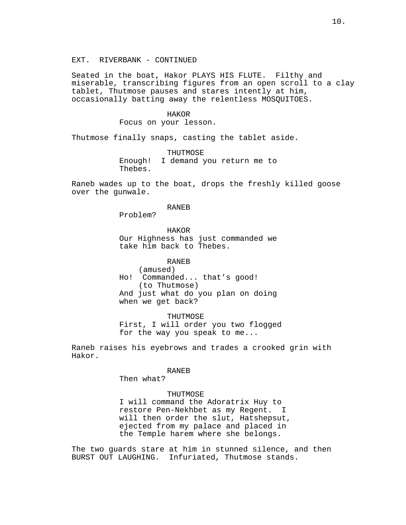Seated in the boat, Hakor PLAYS HIS FLUTE. Filthy and miserable, transcribing figures from an open scroll to a clay tablet, Thutmose pauses and stares intently at him, occasionally batting away the relentless MOSQUITOES.

# HAKOR

Focus on your lesson.

Thutmose finally snaps, casting the tablet aside.

THUTMOSE Enough! I demand you return me to Thebes.

Raneb wades up to the boat, drops the freshly killed goose over the gunwale.

RANEB

Problem?

HAKOR Our Highness has just commanded we take him back to Thebes.

### RANEB

(amused) Ho! Commanded... that's good! (to Thutmose) And just what do you plan on doing when we get back?

THUTMOSE First, I will order you two flogged for the way you speak to me...

Raneb raises his eyebrows and trades a crooked grin with Hakor.

#### RANEB

Then what?

# THUTMOSE

I will command the Adoratrix Huy to restore Pen-Nekhbet as my Regent. I will then order the slut, Hatshepsut, ejected from my palace and placed in the Temple harem where she belongs.

The two guards stare at him in stunned silence, and then BURST OUT LAUGHING. Infuriated, Thutmose stands.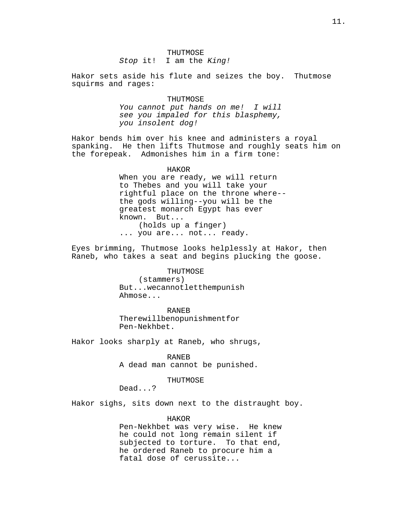Stop it! I am the King!

Hakor sets aside his flute and seizes the boy. Thutmose squirms and rages:

# THUTMOSE

You cannot put hands on me! I will see you impaled for this blasphemy, you insolent dog!

Hakor bends him over his knee and administers a royal spanking. He then lifts Thutmose and roughly seats him on the forepeak. Admonishes him in a firm tone:

### HAKOR

When you are ready, we will return to Thebes and you will take your rightful place on the throne where- the gods willing--you will be the greatest monarch Egypt has ever known. But... (holds up a finger) ... you are... not... ready.

Eyes brimming, Thutmose looks helplessly at Hakor, then Raneb, who takes a seat and begins plucking the goose.

> **THUTMOSE** (stammers) But...
> we
> cannot
> let
> them
> punish Ahmose...

RANEB There
will
be
no
punishment
for Pen-Nekhbet.

Hakor looks sharply at Raneb, who shrugs,

RANEB

A dead man cannot be punished.

# THUTMOSE

Dead...?

Hakor sighs, sits down next to the distraught boy.

HAKOR

Pen-Nekhbet was very wise. He knew he could not long remain silent if subjected to torture. To that end, he ordered Raneb to procure him a fatal dose of cerussite...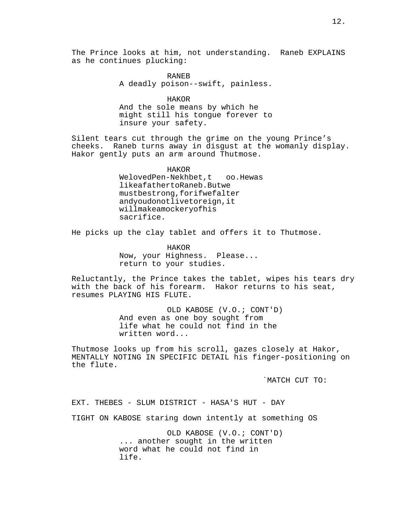RANEB A deadly poison--swift, painless.

HAKOR And the sole means by which he might still his tongue forever to insure your safety.

Silent tears cut through the grime on the young Prince's cheeks. Raneb turns away in disgust at the womanly display. Hakor gently puts an arm around Thutmose.

> HAKOR We
> loved
> Pen-Nekhbet,
> too.
> 
> He
> was like a father to Raneb. But we must
> be
> strong,
> for
> if
> we
> falter and
> you
> do
> not
> live
> to
> reign,
> it will
> make
> a
> mockery
> of
> his sacrifice.

He picks up the clay tablet and offers it to Thutmose.

HAKOR Now, your Highness. Please... return to your studies.

Reluctantly, the Prince takes the tablet, wipes his tears dry with the back of his forearm. Hakor returns to his seat, resumes PLAYING HIS FLUTE.

> OLD KABOSE (V.O.; CONT'D) And even as one boy sought from life what he could not find in the written word...

Thutmose looks up from his scroll, gazes closely at Hakor, MENTALLY NOTING IN SPECIFIC DETAIL his finger-positioning on the flute.

`MATCH CUT TO:

EXT. THEBES - SLUM DISTRICT - HASA'S HUT - DAY

TIGHT ON KABOSE staring down intently at something OS

OLD KABOSE (V.O.; CONT'D) ... another sought in the written word what he could not find in life.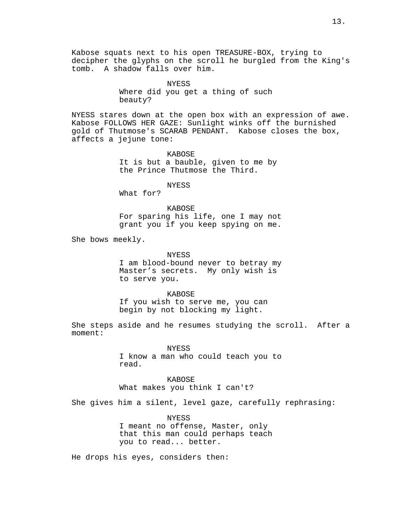Kabose squats next to his open TREASURE-BOX, trying to decipher the glyphs on the scroll he burgled from the King's tomb. A shadow falls over him.

> NYESS Where did you get a thing of such beauty?

NYESS stares down at the open box with an expression of awe. Kabose FOLLOWS HER GAZE: Sunlight winks off the burnished gold of Thutmose's SCARAB PENDANT. Kabose closes the box, affects a jejune tone:

> KABOSE It is but a bauble, given to me by the Prince Thutmose the Third.

> > NYESS

What for?

KABOSE For sparing his life, one I may not grant you if you keep spying on me.

She bows meekly.

NYESS I am blood-bound never to betray my Master's secrets. My only wish is to serve you.

KABOSE If you wish to serve me, you can begin by not blocking my light.

She steps aside and he resumes studying the scroll. After a moment:

> NYESS I know a man who could teach you to read.

KABOSE What makes you think I can't?

She gives him a silent, level gaze, carefully rephrasing:

**NYESS** I meant no offense, Master, only that this man could perhaps teach you to read... better.

He drops his eyes, considers then: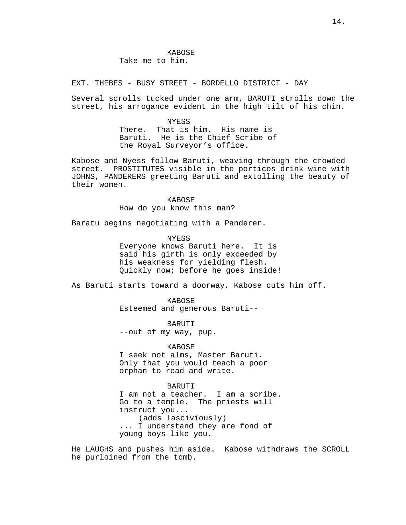EXT. THEBES - BUSY STREET - BORDELLO DISTRICT - DAY

Several scrolls tucked under one arm, BARUTI strolls down the street, his arrogance evident in the high tilt of his chin.

> NYESS There. That is him. His name is Baruti. He is the Chief Scribe of the Royal Surveyor's office.

Kabose and Nyess follow Baruti, weaving through the crowded street. PROSTITUTES visible in the porticos drink wine with JOHNS, PANDERERS greeting Baruti and extolling the beauty of their women.

> KABOSE How do you know this man?

Baratu begins negotiating with a Panderer.

NYESS

Everyone knows Baruti here. It is said his girth is only exceeded by his weakness for yielding flesh. Quickly now; before he goes inside!

As Baruti starts toward a doorway, Kabose cuts him off.

KABOSE Esteemed and generous Baruti--

BARUTI --out of my way, pup.

KABOSE I seek not alms, Master Baruti. Only that you would teach a poor orphan to read and write.

BARUTI I am not a teacher. I am a scribe. Go to a temple. The priests will instruct you... (adds lasciviously) ... I understand they are fond of young boys like you.

He LAUGHS and pushes him aside. Kabose withdraws the SCROLL he purloined from the tomb.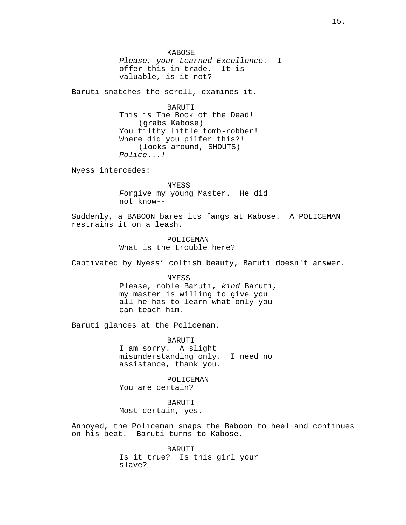KABOSE Please, your Learned Excellence. I offer this in trade. It is valuable, is it not?

Baruti snatches the scroll, examines it.

BARUTI This is The Book of the Dead! (grabs Kabose) You filthy little tomb-robber! Where did you pilfer this?! (looks around, SHOUTS) Police...!

Nyess intercedes:

NYESS Forgive my young Master. He did not know--

Suddenly, a BABOON bares its fangs at Kabose. A POLICEMAN restrains it on a leash.

> POLICEMAN What is the trouble here?

Captivated by Nyess' coltish beauty, Baruti doesn't answer.

NYESS Please, noble Baruti, kind Baruti, my master is willing to give you all he has to learn what only you can teach him.

Baruti glances at the Policeman.

BARUTI I am sorry. A slight misunderstanding only. I need no assistance, thank you.

POLICEMAN You are certain?

BARUTI Most certain, yes.

Annoyed, the Policeman snaps the Baboon to heel and continues on his beat. Baruti turns to Kabose.

> BARUTI Is it true? Is this girl your slave?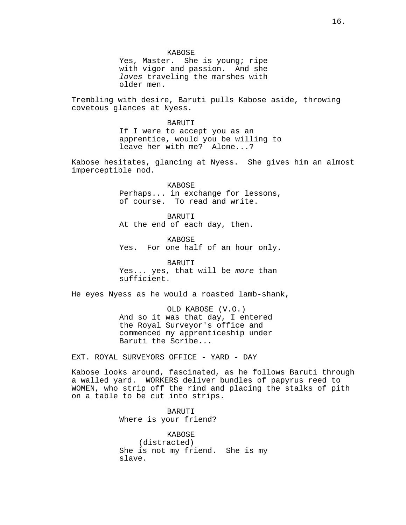KABOSE

Yes, Master. She is young; ripe with vigor and passion. And she loves traveling the marshes with older men.

Trembling with desire, Baruti pulls Kabose aside, throwing covetous glances at Nyess.

> BARUTI If I were to accept you as an apprentice, would you be willing to leave her with me? Alone...?

Kabose hesitates, glancing at Nyess. She gives him an almost imperceptible nod.

> KABOSE Perhaps... in exchange for lessons, of course. To read and write.

BARUTI At the end of each day, then.

KABOSE Yes. For one half of an hour only.

BARUTI Yes... yes, that will be more than sufficient.

He eyes Nyess as he would a roasted lamb-shank,

OLD KABOSE (V.O.) And so it was that day, I entered the Royal Surveyor's office and commenced my apprenticeship under Baruti the Scribe...

EXT. ROYAL SURVEYORS OFFICE - YARD - DAY

Kabose looks around, fascinated, as he follows Baruti through a walled yard. WORKERS deliver bundles of papyrus reed to WOMEN, who strip off the rind and placing the stalks of pith on a table to be cut into strips.

> BARUTI Where is your friend?

KABOSE (distracted) She is not my friend. She is my slave.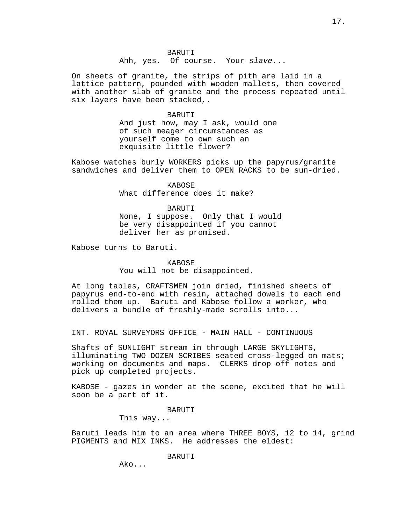**BARUTI** 

Ahh, yes. Of course. Your slave...

On sheets of granite, the strips of pith are laid in a lattice pattern, pounded with wooden mallets, then covered with another slab of granite and the process repeated until six layers have been stacked,.

### BARUTI

And just how, may I ask, would one of such meager circumstances as yourself come to own such an exquisite little flower?

Kabose watches burly WORKERS picks up the papyrus/granite sandwiches and deliver them to OPEN RACKS to be sun-dried.

> **KABOSE** What difference does it make?

BARUTI None, I suppose. Only that I would be very disappointed if you cannot deliver her as promised.

Kabose turns to Baruti.

# KABOSE

You will not be disappointed.

At long tables, CRAFTSMEN join dried, finished sheets of papyrus end-to-end with resin, attached dowels to each end rolled them up. Baruti and Kabose follow a worker, who delivers a bundle of freshly-made scrolls into...

INT. ROYAL SURVEYORS OFFICE - MAIN HALL - CONTINUOUS

Shafts of SUNLIGHT stream in through LARGE SKYLIGHTS, illuminating TWO DOZEN SCRIBES seated cross-legged on mats; working on documents and maps. CLERKS drop off notes and pick up completed projects.

KABOSE - gazes in wonder at the scene, excited that he will soon be a part of it.

# BARUTI

This way...

Baruti leads him to an area where THREE BOYS, 12 to 14, grind PIGMENTS and MIX INKS. He addresses the eldest:

BARUTI

Ako...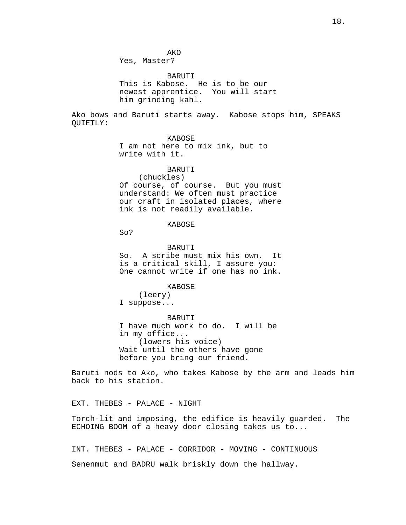AKO

Yes, Master?

BARUTI This is Kabose. He is to be our newest apprentice. You will start him grinding kahl.

Ako bows and Baruti starts away. Kabose stops him, SPEAKS QUIETLY:

KABOSE

I am not here to mix ink, but to write with it.

BARUTI

(chuckles) Of course, of course. But you must understand: We often must practice our craft in isolated places, where ink is not readily available.

KABOSE

So?

BARUTI

So. A scribe must mix his own. It is a critical skill, I assure you: One cannot write if one has no ink.

KABOSE

(leery) I suppose...

BARUTI I have much work to do. I will be in my office... (lowers his voice) Wait until the others have gone before you bring our friend.

Baruti nods to Ako, who takes Kabose by the arm and leads him back to his station.

EXT. THEBES - PALACE - NIGHT

Torch-lit and imposing, the edifice is heavily guarded. The ECHOING BOOM of a heavy door closing takes us to...

INT. THEBES - PALACE - CORRIDOR - MOVING - CONTINUOUS Senenmut and BADRU walk briskly down the hallway.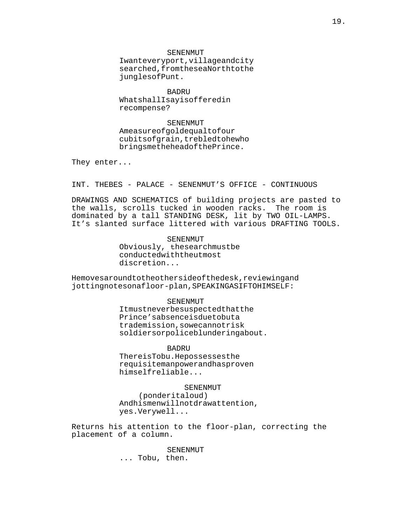**SENENMUT** I
want
every
port,
village
and
city searched,
from
the
sea
North
to
the jungles
of
Punt.

BADRU What shall I say is offered in recompense?

SENENMUT A
measure
of
gold
equal
to
four cubits
of
grain,
trebled
to
he
who brings
me
the
head
of
the
Prince.

They enter...

INT. THEBES - PALACE - SENENMUT'S OFFICE - CONTINUOUS

DRAWINGS AND SCHEMATICS of building projects are pasted to the walls, scrolls tucked in wooden racks. The room is dominated by a tall STANDING DESK, lit by TWO OIL-LAMPS. It's slanted surface littered with various DRAFTING TOOLS.

> SENENMUT Obviously, the
> search
> must
> be conducted
> with
> the
> utmost discretion...

He moves around to the other side of the desk, reviewing and jotting notes on a floor-plan, SPEAKING AS IF TO HIMSELF:

#### SENENMUT

It
must
never
be
suspected
that
the Prince's
absence
is
due
to
but
a trade
mission,
so
we
cannot
risk soldiers
or
police
blundering
about.

**BADRU** 

There
is
Tobu.

He
possesses
the requisite
manpower
and
has
proven himself
reliable...

### SENENMUT

(ponder
it
aloud) And
his
men
will
not
draw
attention, yes.

Very
well...

Returns his attention to the floor-plan, correcting the placement of a column.

> **SENENMUT** ... Tobu, then.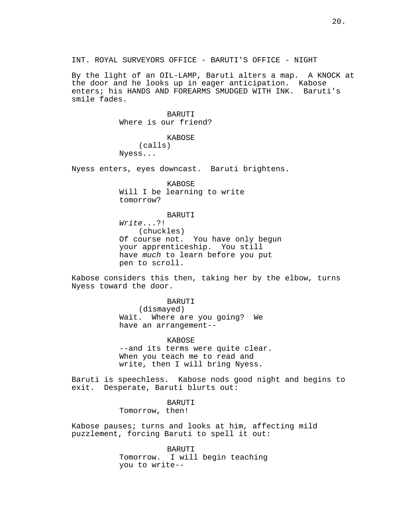By the light of an OIL-LAMP, Baruti alters a map. A KNOCK at the door and he looks up in eager anticipation. Kabose enters; his HANDS AND FOREARMS SMUDGED WITH INK. Baruti's smile fades.

> **BARUTI** Where is our friend?

KABOSE (calls) Nyess...

Nyess enters, eyes downcast. Baruti brightens.

KABOSE Will I be learning to write tomorrow?

# BARUTI

Write...?! (chuckles) Of course not. You have only begun your apprenticeship. You still have much to learn before you put pen to scroll.

Kabose considers this then, taking her by the elbow, turns Nyess toward the door.

> BARUTI (dismayed) Wait. Where are you going? We have an arrangement--

KABOSE --and its terms were quite clear. When you teach me to read and write, then I will bring Nyess.

Baruti is speechless. Kabose nods good night and begins to exit. Desperate, Baruti blurts out:

> BARUTI Tomorrow, then!

Kabose pauses; turns and looks at him, affecting mild puzzlement, forcing Baruti to spell it out:

> BARUTI Tomorrow. I will begin teaching you to write--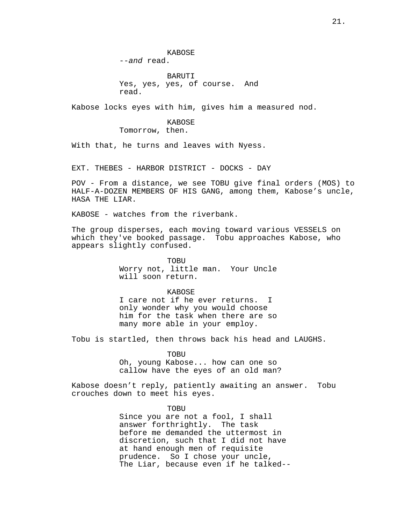**KABOSE** --and read.

BARUTI Yes, yes, yes, of course. And read.

Kabose locks eyes with him, gives him a measured nod.

# KABOSE Tomorrow, then.

With that, he turns and leaves with Nyess.

EXT. THEBES - HARBOR DISTRICT - DOCKS - DAY

POV - From a distance, we see TOBU give final orders (MOS) to HALF-A-DOZEN MEMBERS OF HIS GANG, among them, Kabose's uncle, HASA THE LIAR.

KABOSE - watches from the riverbank.

The group disperses, each moving toward various VESSELS on which they've booked passage. Tobu approaches Kabose, who appears slightly confused.

> TOBU Worry not, little man. Your Uncle will soon return.

> KABOSE I care not if he ever returns. I only wonder why you would choose him for the task when there are so many more able in your employ.

Tobu is startled, then throws back his head and LAUGHS.

TOBU

Oh, young Kabose... how can one so callow have the eyes of an old man?

Kabose doesn't reply, patiently awaiting an answer. Tobu crouches down to meet his eyes.

> TOBU Since you are not a fool, I shall answer forthrightly. The task before me demanded the uttermost in discretion, such that I did not have at hand enough men of requisite prudence. So I chose your uncle, The Liar, because even if he talked--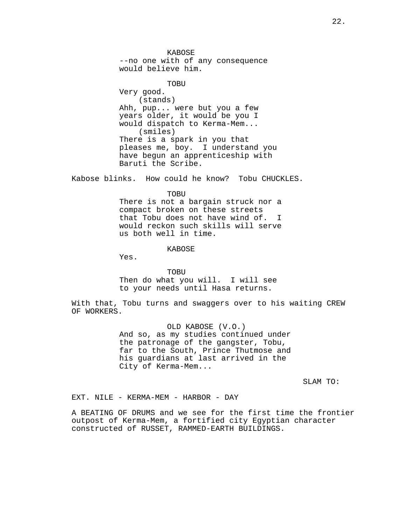KABOSE --no one with of any consequence would believe him.

TOBU Very good. (stands) Ahh, pup... were but you a few years older, it would be you I would dispatch to Kerma-Mem... (smiles) There is a spark in you that pleases me, boy. I understand you have begun an apprenticeship with Baruti the Scribe.

Kabose blinks. How could he know? Tobu CHUCKLES.

TOBU

There is not a bargain struck nor a compact broken on these streets that Tobu does not have wind of. I would reckon such skills will serve us both well in time.

KABOSE

Yes.

TOBU Then do what you will. I will see to your needs until Hasa returns.

With that, Tobu turns and swaggers over to his waiting CREW OF WORKERS.

> OLD KABOSE (V.O.) And so, as my studies continued under the patronage of the gangster, Tobu, far to the South, Prince Thutmose and his guardians at last arrived in the City of Kerma-Mem...

> > SLAM TO:

EXT. NILE - KERMA-MEM - HARBOR - DAY

A BEATING OF DRUMS and we see for the first time the frontier outpost of Kerma-Mem, a fortified city Egyptian character constructed of RUSSET, RAMMED-EARTH BUILDINGS.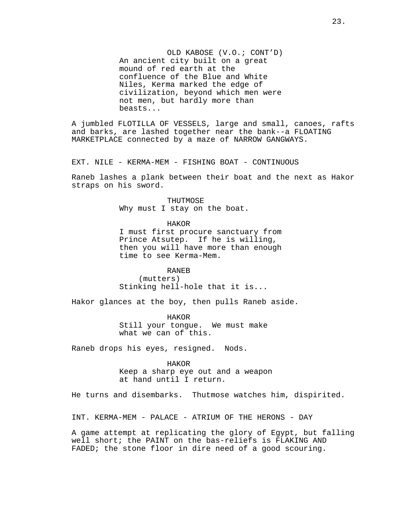OLD KABOSE (V.O.; CONT'D) An ancient city built on a great mound of red earth at the confluence of the Blue and White Niles, Kerma marked the edge of civilization, beyond which men were not men, but hardly more than beasts...

A jumbled FLOTILLA OF VESSELS, large and small, canoes, rafts and barks, are lashed together near the bank--a FLOATING MARKETPLACE connected by a maze of NARROW GANGWAYS.

EXT. NILE - KERMA-MEM - FISHING BOAT - CONTINUOUS

Raneb lashes a plank between their boat and the next as Hakor straps on his sword.

> THUTMOSE Why must I stay on the boat.

HAKOR I must first procure sanctuary from Prince Atsutep. If he is willing, then you will have more than enough time to see Kerma-Mem.

RANEB (mutters) Stinking hell-hole that it is...

Hakor glances at the boy, then pulls Raneb aside.

HAKOR Still your tongue. We must make what we can of this.

Raneb drops his eyes, resigned. Nods.

HAKOR Keep a sharp eye out and a weapon at hand until I return.

He turns and disembarks. Thutmose watches him, dispirited.

INT. KERMA-MEM - PALACE - ATRIUM OF THE HERONS - DAY

A game attempt at replicating the glory of Egypt, but falling well short; the PAINT on the bas-reliefs is FLAKING AND FADED; the stone floor in dire need of a good scouring.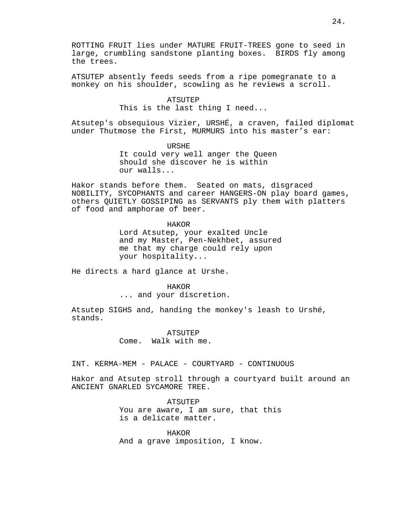ROTTING FRUIT lies under MATURE FRUIT-TREES gone to seed in large, crumbling sandstone planting boxes. BIRDS fly among the trees.

ATSUTEP absently feeds seeds from a ripe pomegranate to a monkey on his shoulder, scowling as he reviews a scroll.

### **ATSUTEP**

This is the last thing I need...

Atsutep's obsequious Vizier, URSHÉ, a craven, failed diplomat under Thutmose the First, MURMURS into his master's ear:

> URSHE It could very well anger the Queen should she discover he is within our walls...

Hakor stands before them. Seated on mats, disgraced NOBILITY, SYCOPHANTS and career HANGERS-ON play board games, others QUIETLY GOSSIPING as SERVANTS ply them with platters of food and amphorae of beer.

### HAKOR

Lord Atsutep, your exalted Uncle and my Master, Pen-Nekhbet, assured me that my charge could rely upon your hospitality...

He directs a hard glance at Urshe.

HAKOR ... and your discretion.

Atsutep SIGHS and, handing the monkey's leash to Urshé, stands.

> **ATSUTEP** Come. Walk with me.

INT. KERMA-MEM - PALACE - COURTYARD - CONTINUOUS

Hakor and Atsutep stroll through a courtyard built around an ANCIENT GNARLED SYCAMORE TREE.

> ATSUTEP You are aware, I am sure, that this is a delicate matter.

HAKOR And a grave imposition, I know.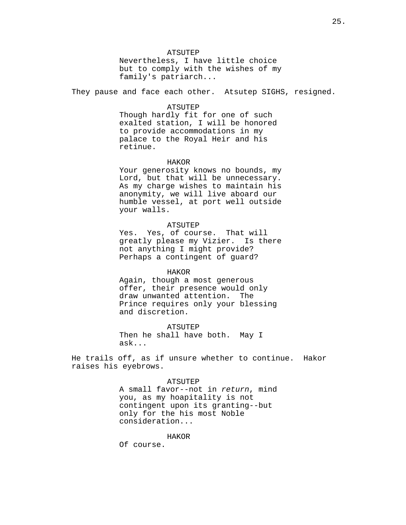### **ATSUTEP**

Nevertheless, I have little choice but to comply with the wishes of my family's patriarch...

They pause and face each other. Atsutep SIGHS, resigned.

#### ATSUTEP

Though hardly fit for one of such exalted station, I will be honored to provide accommodations in my palace to the Royal Heir and his retinue.

### HAKOR

Your generosity knows no bounds, my Lord, but that will be unnecessary. As my charge wishes to maintain his anonymity, we will live aboard our humble vessel, at port well outside your walls.

### ATSUTEP

Yes. Yes, of course. That will greatly please my Vizier. Is there not anything I might provide? Perhaps a contingent of guard?

# HAKOR

Again, though a most generous offer, their presence would only draw unwanted attention. The Prince requires only your blessing and discretion.

ATSUTEP Then he shall have both. May I ask...

He trails off, as if unsure whether to continue. Hakor raises his eyebrows.

#### ATSUTEP

A small favor--not in return, mind you, as my hoapitality is not contingent upon its granting--but only for the his most Noble consideration...

### HAKOR

Of course.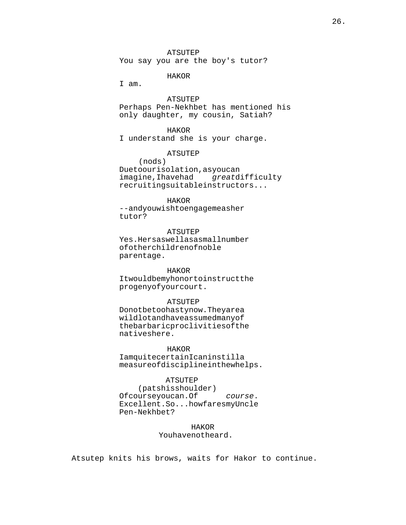You say you are the boy's tutor?

# HAKOR

I am.

ATSUTEP

Perhaps Pen-Nekhbet has mentioned his only daughter, my cousin, Satiah?

# HAKOR

I understand she is your charge.

# ATSUTEP

(nods) Due to our isolation, as you can imagine, I have had great difficulty recruiting
suitable
instructors...

# HAKOR

--and you wish to engage me as her tutor?

# ATSUTEP

Yes.

Hers
as
well
as
a
small
number of
other
children
of
noble parentage.

### HAKOR

It would be my honor to instruct the progeny
of
your
court.

### ATSUTEP

Do not be too hasty now. They are a wild lot and have assumed many of the
barbaric
proclivities
of
the natives
here.

### HAKOR

I am quite certain I can instill a measure
of
discipline
in
the
whelps.

### ATSUTEP

 (pats
his
shoulder) Of
course
you
can.

Of course. Excellent. So... how fares my Uncle Pen-Nekhbet?

> HAKOR You have not heard.

Atsutep knits his brows, waits for Hakor to continue.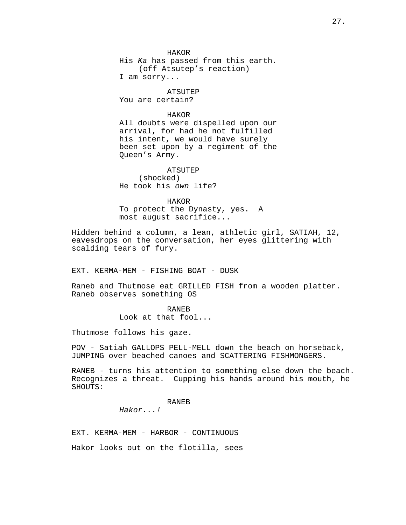HAKOR His Ka has passed from this earth. (off Atsutep's reaction) I am sorry...

ATSUTEP You are certain?

HAKOR

All doubts were dispelled upon our arrival, for had he not fulfilled his intent, we would have surely been set upon by a regiment of the Queen's Army.

ATSUTEP (shocked) He took his own life?

HAKOR To protect the Dynasty, yes. A most august sacrifice...

Hidden behind a column, a lean, athletic girl, SATIAH, 12, eavesdrops on the conversation, her eyes glittering with scalding tears of fury.

EXT. KERMA-MEM - FISHING BOAT - DUSK

Raneb and Thutmose eat GRILLED FISH from a wooden platter. Raneb observes something OS

> RANEB Look at that fool...

Thutmose follows his gaze.

POV - Satiah GALLOPS PELL-MELL down the beach on horseback, JUMPING over beached canoes and SCATTERING FISHMONGERS.

RANEB - turns his attention to something else down the beach. Recognizes a threat. Cupping his hands around his mouth, he SHOUTS:

RANEB

Hakor...!

EXT. KERMA-MEM - HARBOR - CONTINUOUS

Hakor looks out on the flotilla, sees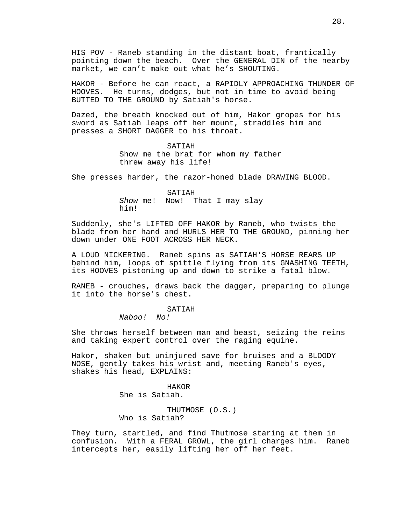HIS POV - Raneb standing in the distant boat, frantically pointing down the beach. Over the GENERAL DIN of the nearby market, we can't make out what he's SHOUTING.

HAKOR - Before he can react, a RAPIDLY APPROACHING THUNDER OF HOOVES. He turns, dodges, but not in time to avoid being BUTTED TO THE GROUND by Satiah's horse.

Dazed, the breath knocked out of him, Hakor gropes for his sword as Satiah leaps off her mount, straddles him and presses a SHORT DAGGER to his throat.

> SATIAH Show me the brat for whom my father threw away his life!

She presses harder, the razor-honed blade DRAWING BLOOD.

SATIAH Show me! Now! That I may slay him!

Suddenly, she's LIFTED OFF HAKOR by Raneb, who twists the blade from her hand and HURLS HER TO THE GROUND, pinning her down under ONE FOOT ACROSS HER NECK.

A LOUD NICKERING. Raneb spins as SATIAH'S HORSE REARS UP behind him, loops of spittle flying from its GNASHING TEETH, its HOOVES pistoning up and down to strike a fatal blow.

RANEB - crouches, draws back the dagger, preparing to plunge it into the horse's chest.

### SATIAH

Naboo! No!

She throws herself between man and beast, seizing the reins and taking expert control over the raging equine.

Hakor, shaken but uninjured save for bruises and a BLOODY NOSE, gently takes his wrist and, meeting Raneb's eyes, shakes his head, EXPLAINS:

> HAKOR She is Satiah.

THUTMOSE (O.S.) Who is Satiah?

They turn, startled, and find Thutmose staring at them in confusion. With a FERAL GROWL, the girl charges him. Raneb intercepts her, easily lifting her off her feet.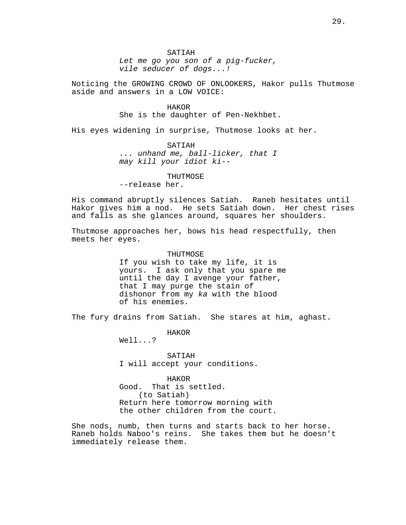SATIAH

Let me go you son of a pig-fucker, vile seducer of dogs...!

Noticing the GROWING CROWD OF ONLOOKERS, Hakor pulls Thutmose aside and answers in a LOW VOICE:

HAKOR

She is the daughter of Pen-Nekhbet.

His eyes widening in surprise, Thutmose looks at her.

SATIAH ... unhand me, ball-licker, that I may kill your idiot ki--

### THUTMOSE

--release her.

His command abruptly silences Satiah. Raneb hesitates until Hakor gives him a nod. He sets Satiah down. Her chest rises and falls as she glances around, squares her shoulders.

Thutmose approaches her, bows his head respectfully, then meets her eyes.

# **THUTMOSE**

If you wish to take my life, it is yours. I ask only that you spare me until the day I avenge your father, that I may purge the stain of dishonor from my ka with the blood of his enemies.

The fury drains from Satiah. She stares at him, aghast.

HAKOR

Well...?

**SATIAH** I will accept your conditions.

### HAKOR

Good. That is settled. (to Satiah) Return here tomorrow morning with the other children from the court.

She nods, numb, then turns and starts back to her horse. Raneb holds Naboo's reins. She takes them but he doesn't immediately release them.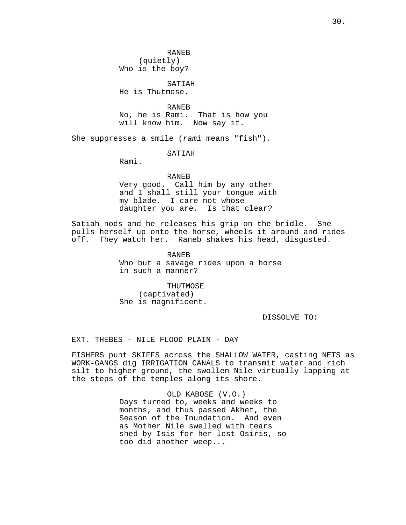RANEB (quietly) Who is the boy?

SATIAH

He is Thutmose.

RANEB No, he is Rami. That is how you will know him. Now say it.

She suppresses a smile (rami means "fish").

SATIAH

Rami.

## RANEB

Very good. Call him by any other and I shall still your tongue with my blade. I care not whose daughter you are. Is that clear?

Satiah nods and he releases his grip on the bridle. She pulls herself up onto the horse, wheels it around and rides off. They watch her. Raneb shakes his head, disgusted.

> RANEB Who but a savage rides upon a horse in such a manner?

THUTMOSE (captivated) She is magnificent.

DISSOLVE TO:

EXT. THEBES - NILE FLOOD PLAIN - DAY

FISHERS punt SKIFFS across the SHALLOW WATER, casting NETS as WORK-GANGS dig IRRIGATION CANALS to transmit water and rich silt to higher ground, the swollen Nile virtually lapping at the steps of the temples along its shore.

> OLD KABOSE (V.O.) Days turned to, weeks and weeks to months, and thus passed Akhet, the Season of the Inundation. And even as Mother Nile swelled with tears shed by Isis for her lost Osiris, so too did another weep...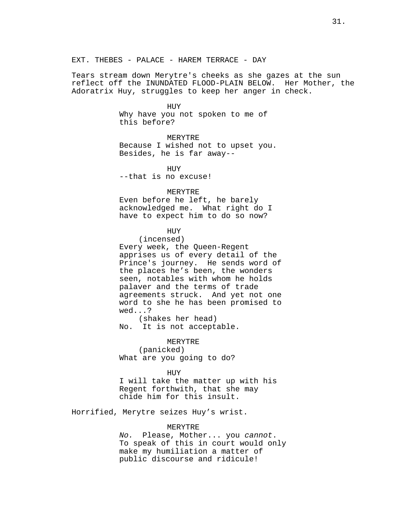Tears stream down Merytre's cheeks as she gazes at the sun reflect off the INUNDATED FLOOD-PLAIN BELOW. Her Mother, the Adoratrix Huy, struggles to keep her anger in check.

#### HUY

Why have you not spoken to me of this before?

# MERYTRE

Because I wished not to upset you. Besides, he is far away--

HUY --that is no excuse!

# MERYTRE

Even before he left, he barely acknowledged me. What right do I have to expect him to do so now?

# **HUY**

(incensed) Every week, the Queen-Regent apprises us of every detail of the Prince's journey. He sends word of the places he's been, the wonders seen, notables with whom he holds palaver and the terms of trade agreements struck. And yet not one word to she he has been promised to wed...?

(shakes her head) No. It is not acceptable.

MERYTRE (panicked) What are you going to do?

#### HUY

I will take the matter up with his Regent forthwith, that she may chide him for this insult.

Horrified, Merytre seizes Huy's wrist.

### MERYTRE

No. Please, Mother... you cannot. To speak of this in court would only make my humiliation a matter of public discourse and ridicule!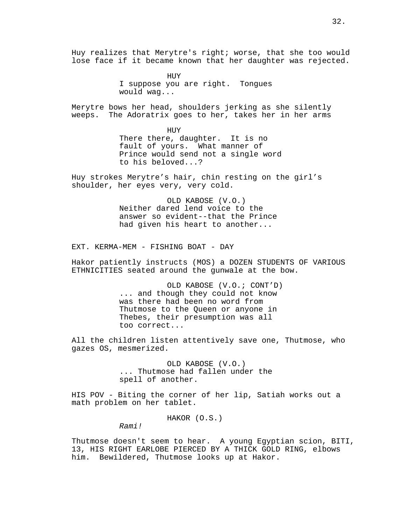Huy realizes that Merytre's right; worse, that she too would lose face if it became known that her daughter was rejected.

> **HUY** I suppose you are right. Tongues would wag...

Merytre bows her head, shoulders jerking as she silently weeps. The Adoratrix goes to her, takes her in her arms

> HUY There there, daughter. It is no fault of yours. What manner of Prince would send not a single word to his beloved...?

Huy strokes Merytre's hair, chin resting on the girl's shoulder, her eyes very, very cold.

> OLD KABOSE (V.O.) Neither dared lend voice to the answer so evident--that the Prince had given his heart to another...

EXT. KERMA-MEM - FISHING BOAT - DAY

Hakor patiently instructs (MOS) a DOZEN STUDENTS OF VARIOUS ETHNICITIES seated around the gunwale at the bow.

> OLD KABOSE (V.O.; CONT'D) ... and though they could not know was there had been no word from Thutmose to the Queen or anyone in Thebes, their presumption was all too correct...

All the children listen attentively save one, Thutmose, who gazes OS, mesmerized.

> OLD KABOSE (V.O.) ... Thutmose had fallen under the spell of another.

HIS POV - Biting the corner of her lip, Satiah works out a math problem on her tablet.

HAKOR (O.S.)

Rami!

Thutmose doesn't seem to hear. A young Egyptian scion, BITI, 13, HIS RIGHT EARLOBE PIERCED BY A THICK GOLD RING, elbows him. Bewildered, Thutmose looks up at Hakor.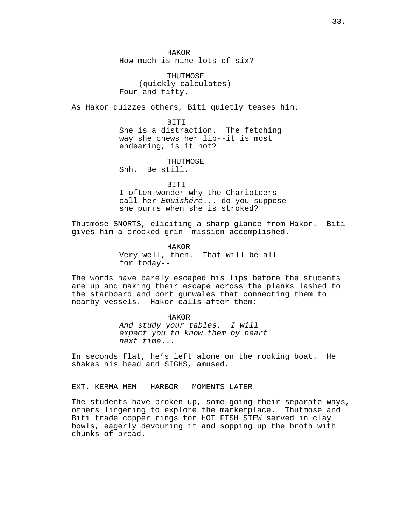HAKOR How much is nine lots of six?

THUTMOSE (quickly calculates) Four and fifty.

As Hakor quizzes others, Biti quietly teases him.

BITI She is a distraction. The fetching way she chews her lip--it is most endearing, is it not?

THUTMOSE

Shh. Be still.

**BITI** 

I often wonder why the Charioteers call her Emuishéré... do you suppose she purrs when she is stroked?

Thutmose SNORTS, eliciting a sharp glance from Hakor. Biti gives him a crooked grin--mission accomplished.

> HAKOR Very well, then. That will be all for today--

The words have barely escaped his lips before the students are up and making their escape across the planks lashed to the starboard and port gunwales that connecting them to nearby vessels. Hakor calls after them:

> HAKOR And study your tables. I will expect you to know them by heart next time...

In seconds flat, he's left alone on the rocking boat. He shakes his head and SIGHS, amused.

EXT. KERMA-MEM - HARBOR - MOMENTS LATER

The students have broken up, some going their separate ways, others lingering to explore the marketplace. Thutmose and Biti trade copper rings for HOT FISH STEW served in clay bowls, eagerly devouring it and sopping up the broth with chunks of bread.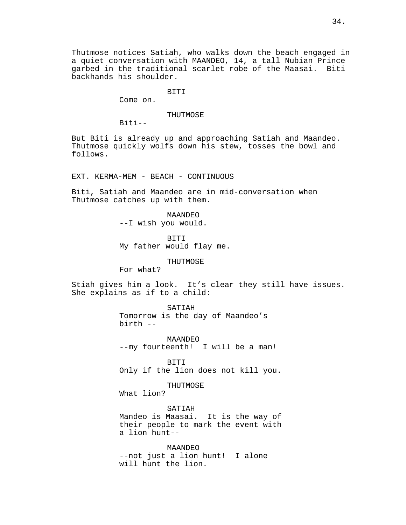Thutmose notices Satiah, who walks down the beach engaged in a quiet conversation with MAANDEO, 14, a tall Nubian Prince garbed in the traditional scarlet robe of the Maasai. Biti backhands his shoulder.

BITI

Come on.

### THUTMOSE

Biti--

But Biti is already up and approaching Satiah and Maandeo. Thutmose quickly wolfs down his stew, tosses the bowl and follows.

EXT. KERMA-MEM - BEACH - CONTINUOUS

Biti, Satiah and Maandeo are in mid-conversation when Thutmose catches up with them.

> MAANDEO --I wish you would.

BITI My father would flay me.

THUTMOSE

For what?

Stiah gives him a look. It's clear they still have issues. She explains as if to a child:

> SATIAH Tomorrow is the day of Maandeo's birth --

MAANDEO --my fourteenth! I will be a man!

BITI Only if the lion does not kill you.

THUTMOSE

What lion?

SATIAH Mandeo is Maasai. It is the way of their people to mark the event with a lion hunt--

MAANDEO --not just a lion hunt! I alone will hunt the lion.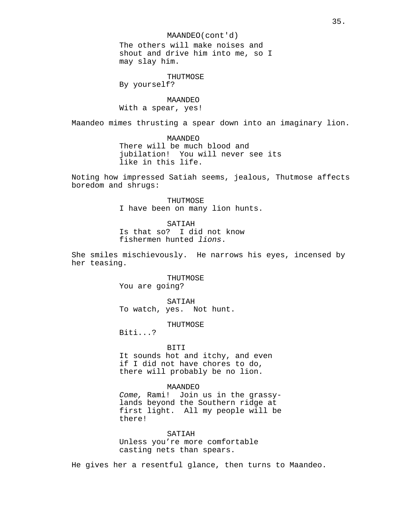MAANDEO(cont'd)

The others will make noises and shout and drive him into me, so I may slay him.

THUTMOSE By yourself?

MAANDEO With a spear, yes!

Maandeo mimes thrusting a spear down into an imaginary lion.

MAANDEO There will be much blood and jubilation! You will never see its like in this life.

Noting how impressed Satiah seems, jealous, Thutmose affects boredom and shrugs:

> THUTMOSE I have been on many lion hunts.

SATIAH Is that so? I did not know fishermen hunted lions.

She smiles mischievously. He narrows his eyes, incensed by her teasing.

> THUTMOSE You are going?

SATIAH To watch, yes. Not hunt.

THUTMOSE

Biti...?

BITI

It sounds hot and itchy, and even if I did not have chores to do, there will probably be no lion.

MAANDEO Come, Rami! Join us in the grassylands beyond the Southern ridge at first light. All my people will be there!

SATIAH Unless you're more comfortable casting nets than spears.

He gives her a resentful glance, then turns to Maandeo.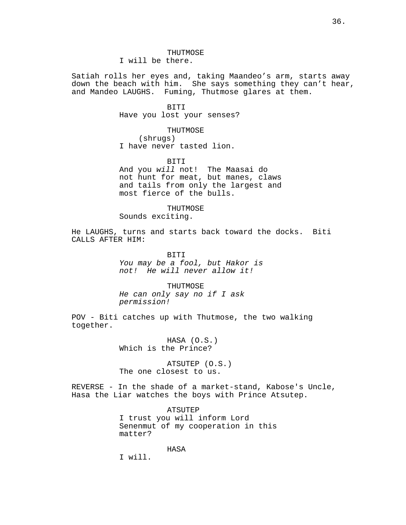# **THUTMOSE**

I will be there.

Satiah rolls her eyes and, taking Maandeo's arm, starts away down the beach with him. She says something they can't hear, and Mandeo LAUGHS. Fuming, Thutmose glares at them.

# BITI

Have you lost your senses?

THUTMOSE

(shrugs) I have never tasted lion.

BITI

And you will not! The Maasai do not hunt for meat, but manes, claws and tails from only the largest and most fierce of the bulls.

THUTMOSE Sounds exciting.

He LAUGHS, turns and starts back toward the docks. Biti CALLS AFTER HIM:

> BITI You may be a fool, but Hakor is not! He will never allow it!

THUTMOSE He can only say no if I ask permission!

POV - Biti catches up with Thutmose, the two walking together.

> HASA (O.S.) Which is the Prince?

ATSUTEP (O.S.) The one closest to us.

REVERSE - In the shade of a market-stand, Kabose's Uncle, Hasa the Liar watches the boys with Prince Atsutep.

> ATSUTEP I trust you will inform Lord Senenmut of my cooperation in this matter?

> > HASA

I will.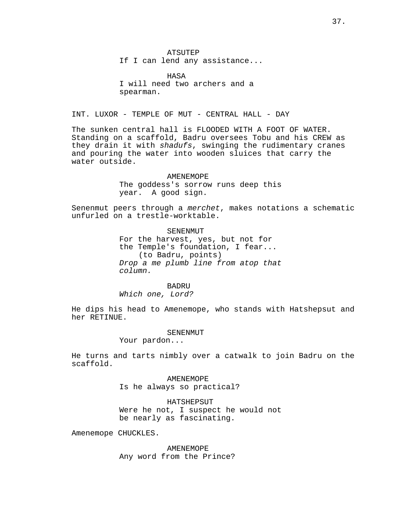**ATSUTEP** If I can lend any assistance...

HASA I will need two archers and a spearman.

INT. LUXOR - TEMPLE OF MUT - CENTRAL HALL - DAY

The sunken central hall is FLOODED WITH A FOOT OF WATER. Standing on a scaffold, Badru oversees Tobu and his CREW as they drain it with shadufs, swinging the rudimentary cranes and pouring the water into wooden sluices that carry the water outside.

### AMENEMOPE

The goddess's sorrow runs deep this year. A good sign.

Senenmut peers through a merchet, makes notations a schematic unfurled on a trestle-worktable.

**SENENMUT** 

For the harvest, yes, but not for the Temple's foundation, I fear... (to Badru, points) Drop a me plumb line from atop that column.

**BADRU** 

Which one, Lord?

He dips his head to Amenemope, who stands with Hatshepsut and her RETINUE.

### SENENMUT

Your pardon...

He turns and tarts nimbly over a catwalk to join Badru on the scaffold.

> AMENEMOPE Is he always so practical?

HATSHEPSUT Were he not, I suspect he would not be nearly as fascinating.

Amenemope CHUCKLES.

AMENEMOPE Any word from the Prince?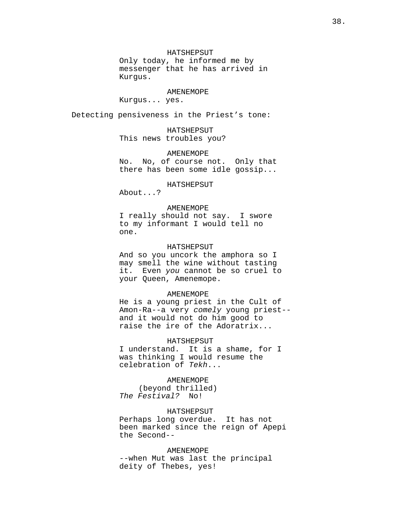### HATSHEPSUT

Only today, he informed me by messenger that he has arrived in Kurgus.

#### AMENEMOPE

Kurgus... yes.

Detecting pensiveness in the Priest's tone:

HATSHEPSUT This news troubles you?

AMENEMOPE

No. No, of course not. Only that there has been some idle gossip...

HATSHEPSUT

About...?

### AMENEMOPE

I really should not say. I swore to my informant I would tell no one.

### HATSHEPSUT

And so you uncork the amphora so I may smell the wine without tasting it. Even you cannot be so cruel to your Queen, Amenemope.

#### AMENEMOPE

He is a young priest in the Cult of Amon-Ra--a very comely young priest- and it would not do him good to raise the ire of the Adoratrix...

HATSHEPSUT

I understand. It is a shame, for I was thinking I would resume the celebration of Tekh...

# AMENEMOPE

(beyond thrilled) The Festival? No!

### HATSHEPSUT

Perhaps long overdue. It has not been marked since the reign of Apepi the Second--

# AMENEMOPE

--when Mut was last the principal deity of Thebes, yes!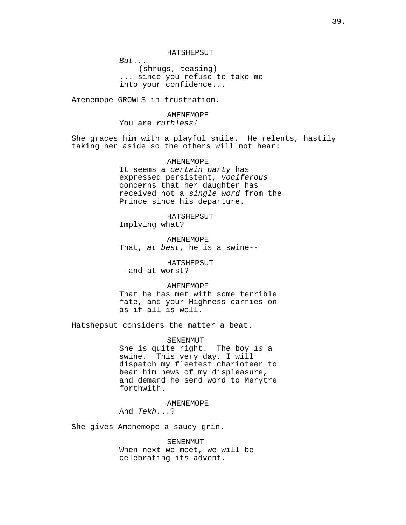HATSHEPSUT

But... (shrugs, teasing) ... since you refuse to take me into your confidence...

Amenemope GROWLS in frustration.

# AMENEMOPE You are ruthless!

She graces him with a playful smile. He relents, hastily taking her aside so the others will not hear:

# **AMENEMOPE**

It seems a certain party has expressed persistent, vociferous concerns that her daughter has received not a single word from the Prince since his departure.

HATSHEPSUT

Implying what?

AMENEMOPE That, at best, he is a swine--

# HATSHEPSUT

--and at worst?

### AMENEMOPE

That he has met with some terrible fate, and your Highness carries on as if all is well.

Hatshepsut considers the matter a beat.

# SENENMUT

She is quite right. The boy is a swine. This very day, I will dispatch my fleetest charioteer to bear him news of my displeasure, and demand he send word to Merytre forthwith.

### AMENEMOPE

And Tekh...?

She gives Amenemope a saucy grin.

### SENENMUT

When next we meet, we will be celebrating its advent.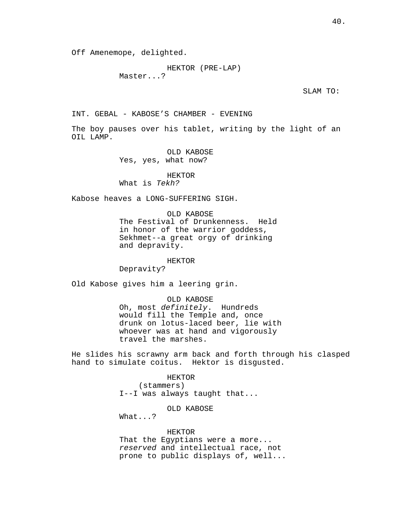```
HEKTOR (PRE-LAP)
Master...?
```
SLAM TO:

INT. GEBAL - KABOSE'S CHAMBER - EVENING

The boy pauses over his tablet, writing by the light of an OIL LAMP.

OLD KABOSE

Yes, yes, what now?

# HEKTOR

What is Tekh?

Kabose heaves a LONG-SUFFERING SIGH.

OLD KABOSE The Festival of Drunkenness. Held in honor of the warrior goddess, Sekhmet--a great orgy of drinking and depravity.

HEKTOR

Depravity?

Old Kabose gives him a leering grin.

OLD KABOSE Oh, most definitely. Hundreds would fill the Temple and, once drunk on lotus-laced beer, lie with whoever was at hand and vigorously travel the marshes.

He slides his scrawny arm back and forth through his clasped hand to simulate coitus. Hektor is disgusted.

> HEKTOR (stammers) I--I was always taught that...

> > OLD KABOSE

What...?

HEKTOR That the Egyptians were a more... reserved and intellectual race, not prone to public displays of, well...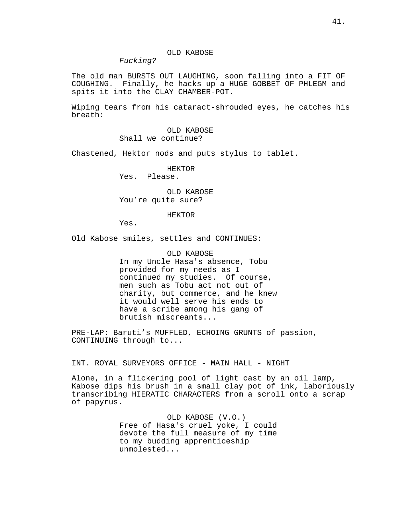# OLD KABOSE

Fucking?

The old man BURSTS OUT LAUGHING, soon falling into a FIT OF COUGHING. Finally, he hacks up a HUGE GOBBET OF PHLEGM and spits it into the CLAY CHAMBER-POT.

Wiping tears from his cataract-shrouded eyes, he catches his breath:

> OLD KABOSE Shall we continue?

Chastened, Hektor nods and puts stylus to tablet.

HEKTOR Yes. Please.

OLD KABOSE You're quite sure?

### HEKTOR

Yes.

Old Kabose smiles, settles and CONTINUES:

OLD KABOSE In my Uncle Hasa's absence, Tobu provided for my needs as I continued my studies. Of course, men such as Tobu act not out of charity, but commerce, and he knew it would well serve his ends to have a scribe among his gang of brutish miscreants...

PRE-LAP: Baruti's MUFFLED, ECHOING GRUNTS of passion, CONTINUING through to...

INT. ROYAL SURVEYORS OFFICE - MAIN HALL - NIGHT

Alone, in a flickering pool of light cast by an oil lamp, Kabose dips his brush in a small clay pot of ink, laboriously transcribing HIERATIC CHARACTERS from a scroll onto a scrap of papyrus.

> OLD KABOSE (V.O.) Free of Hasa's cruel yoke, I could devote the full measure of my time to my budding apprenticeship unmolested...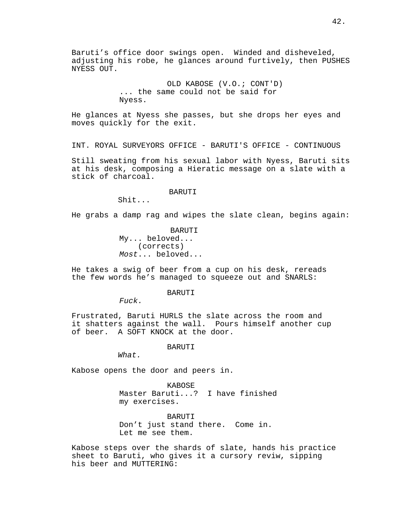Baruti's office door swings open. Winded and disheveled, adjusting his robe, he glances around furtively, then PUSHES NYESS OUT.

> OLD KABOSE (V.O.; CONT'D) ... the same could not be said for Nyess.

He glances at Nyess she passes, but she drops her eyes and moves quickly for the exit.

INT. ROYAL SURVEYORS OFFICE - BARUTI'S OFFICE - CONTINUOUS

Still sweating from his sexual labor with Nyess, Baruti sits at his desk, composing a Hieratic message on a slate with a stick of charcoal.

### BARUTI

Shit...

He grabs a damp rag and wipes the slate clean, begins again:

 BARUTI My... beloved... (corrects) Most... beloved...

He takes a swig of beer from a cup on his desk, rereads the few words he's managed to squeeze out and SNARLS:

### **BARUTI**

Fuck.

Frustrated, Baruti HURLS the slate across the room and it shatters against the wall. Pours himself another cup of beer. A SOFT KNOCK at the door.

BARUTI

What.

Kabose opens the door and peers in.

KABOSE Master Baruti...? I have finished my exercises.

BARUTI Don't just stand there. Come in. Let me see them.

Kabose steps over the shards of slate, hands his practice sheet to Baruti, who gives it a cursory reviw, sipping his beer and MUTTERING: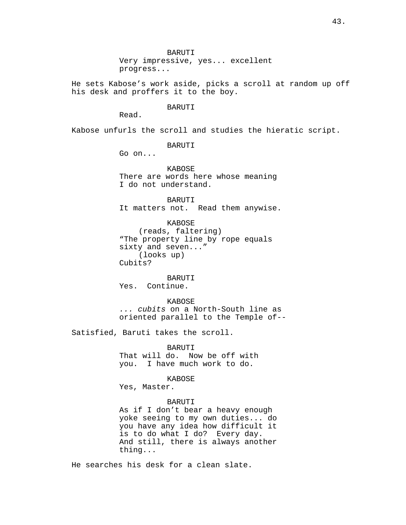Very impressive, yes... excellent progress...

He sets Kabose's work aside, picks a scroll at random up off his desk and proffers it to the boy.

### BARUTI

Read.

Kabose unfurls the scroll and studies the hieratic script.

BARUTI

Go on...

KABOSE There are words here whose meaning I do not understand.

BARUTI It matters not. Read them anywise.

KABOSE (reads, faltering) "The property line by rope equals sixty and seven..." (looks up) Cubits?

Yes. Continue. **KABOSE** ... cubits on a North-South line as

BARUTI

oriented parallel to the Temple of--

Satisfied, Baruti takes the scroll.

 BARUTI That will do. Now be off with you. I have much work to do.

KABOSE

Yes, Master.

### BARUTI

As if I don't bear a heavy enough yoke seeing to my own duties... do you have any idea how difficult it is to do what I do? Every day. And still, there is always another thing...

He searches his desk for a clean slate.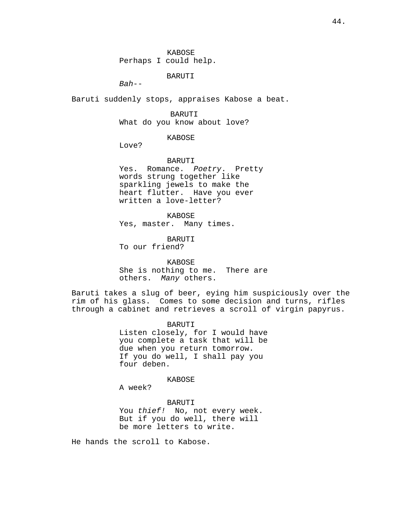BARUTI

 $Bah--$ 

Baruti suddenly stops, appraises Kabose a beat.

BARUTI

What do you know about love?

KABOSE

Love?

BARUTI

Yes. Romance. Poetry. Pretty words strung together like sparkling jewels to make the heart flutter. Have you ever written a love-letter?

KABOSE

Yes, master. Many times.

BARUTI

To our friend?

KABOSE

She is nothing to me. There are others. Many others.

Baruti takes a slug of beer, eying him suspiciously over the rim of his glass. Comes to some decision and turns, rifles through a cabinet and retrieves a scroll of virgin papyrus.

BARUTI

Listen closely, for I would have you complete a task that will be due when you return tomorrow. If you do well, I shall pay you four deben.

KABOSE

A week?

BARUTI

You thief! No, not every week. But if you do well, there will be more letters to write.

He hands the scroll to Kabose.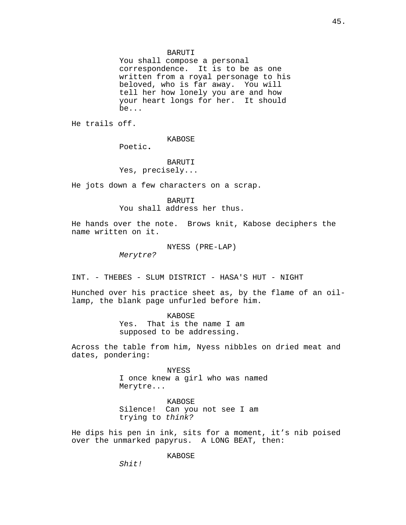You shall compose a personal correspondence. It is to be as one written from a royal personage to his beloved, who is far away. You will tell her how lonely you are and how your heart longs for her. It should be...

He trails off.

KABOSE

Poetic.

BARUTI Yes, precisely...

He jots down a few characters on a scrap.

BARUTI You shall address her thus.

He hands over the note. Brows knit, Kabose deciphers the name written on it.

NYESS (PRE-LAP)

Merytre?

INT. - THEBES - SLUM DISTRICT - HASA'S HUT - NIGHT

Hunched over his practice sheet as, by the flame of an oillamp, the blank page unfurled before him.

> KABOSE Yes. That is the name I am

supposed to be addressing.

Across the table from him, Nyess nibbles on dried meat and dates, pondering:

> NYESS I once knew a girl who was named Merytre...

KABOSE Silence! Can you not see I am trying to think?

He dips his pen in ink, sits for a moment, it's nib poised over the unmarked papyrus. A LONG BEAT, then:

KABOSE

Shit!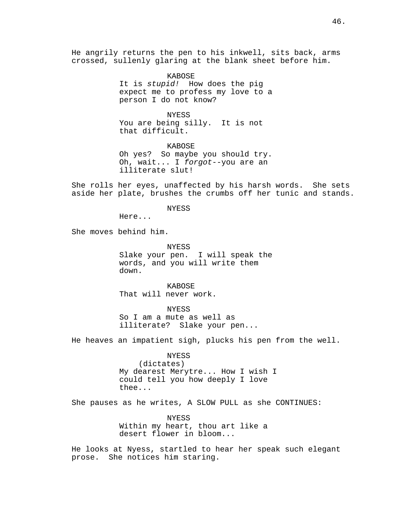He angrily returns the pen to his inkwell, sits back, arms crossed, sullenly glaring at the blank sheet before him.

> KABOSE It is stupid! How does the pig expect me to profess my love to a person I do not know?

NYESS You are being silly. It is not that difficult.

KABOSE Oh yes? So maybe you should try. Oh, wait... I forgot--you are an illiterate slut!

She rolls her eyes, unaffected by his harsh words. She sets aside her plate, brushes the crumbs off her tunic and stands.

NYESS

Here...

She moves behind him.

NYESS Slake your pen. I will speak the words, and you will write them down.

KABOSE That will never work.

NYESS So I am a mute as well as illiterate? Slake your pen...

He heaves an impatient sigh, plucks his pen from the well.

**NYESS** (dictates) My dearest Merytre... How I wish I could tell you how deeply I love thee...

She pauses as he writes, A SLOW PULL as she CONTINUES:

NYESS Within my heart, thou art like a desert flower in bloom...

He looks at Nyess, startled to hear her speak such elegant prose. She notices him staring.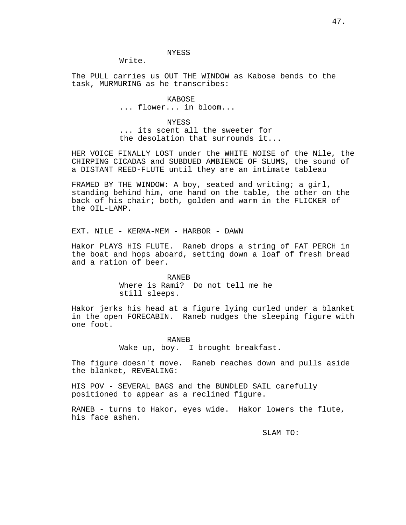**NYESS** 

Write.

The PULL carries us OUT THE WINDOW as Kabose bends to the task, MURMURING as he transcribes:

> KABOSE ... flower... in bloom...

**NYESS** ... its scent all the sweeter for the desolation that surrounds it...

HER VOICE FINALLY LOST under the WHITE NOISE of the Nile, the CHIRPING CICADAS and SUBDUED AMBIENCE OF SLUMS, the sound of a DISTANT REED-FLUTE until they are an intimate tableau

FRAMED BY THE WINDOW: A boy, seated and writing; a girl, standing behind him, one hand on the table, the other on the back of his chair; both, golden and warm in the FLICKER of the OIL-LAMP.

EXT. NILE - KERMA-MEM - HARBOR - DAWN

Hakor PLAYS HIS FLUTE. Raneb drops a string of FAT PERCH in the boat and hops aboard, setting down a loaf of fresh bread and a ration of beer.

> RANEB Where is Rami? Do not tell me he still sleeps.

Hakor jerks his head at a figure lying curled under a blanket in the open FORECABIN. Raneb nudges the sleeping figure with one foot.

> RANEB Wake up, boy. I brought breakfast.

The figure doesn't move. Raneb reaches down and pulls aside the blanket, REVEALING:

HIS POV - SEVERAL BAGS and the BUNDLED SAIL carefully positioned to appear as a reclined figure.

RANEB - turns to Hakor, eyes wide. Hakor lowers the flute, his face ashen.

SLAM TO: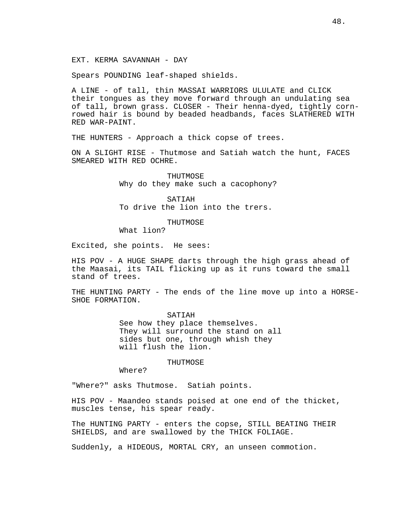EXT. KERMA SAVANNAH - DAY

Spears POUNDING leaf-shaped shields.

A LINE - of tall, thin MASSAI WARRIORS ULULATE and CLICK their tongues as they move forward through an undulating sea of tall, brown grass. CLOSER - Their henna-dyed, tightly cornrowed hair is bound by beaded headbands, faces SLATHERED WITH RED WAR-PAINT.

THE HUNTERS - Approach a thick copse of trees.

ON A SLIGHT RISE - Thutmose and Satiah watch the hunt, FACES SMEARED WITH RED OCHRE.

> THUTMOSE Why do they make such a cacophony?

SATIAH To drive the lion into the trers.

THUTMOSE

What lion?

Excited, she points. He sees:

HIS POV - A HUGE SHAPE darts through the high grass ahead of the Maasai, its TAIL flicking up as it runs toward the small stand of trees.

THE HUNTING PARTY - The ends of the line move up into a HORSE-SHOE FORMATION.

> SATIAH See how they place themselves. They will surround the stand on all sides but one, through whish they will flush the lion.

> > **THUTMOSE**

Where?

"Where?" asks Thutmose. Satiah points.

HIS POV - Maandeo stands poised at one end of the thicket, muscles tense, his spear ready.

The HUNTING PARTY - enters the copse, STILL BEATING THEIR SHIELDS, and are swallowed by the THICK FOLIAGE.

Suddenly, a HIDEOUS, MORTAL CRY, an unseen commotion.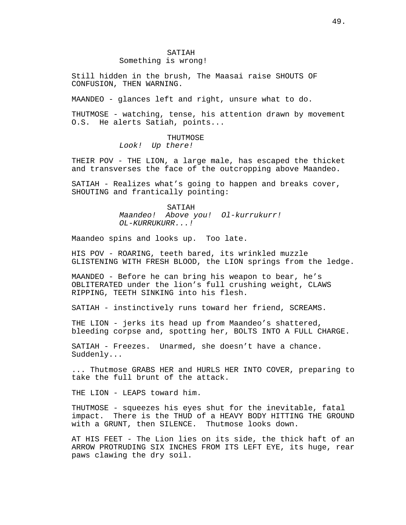# SATIAH

# Something is wrong!

Still hidden in the brush, The Maasai raise SHOUTS OF CONFUSION, THEN WARNING.

MAANDEO - glances left and right, unsure what to do.

THUTMOSE - watching, tense, his attention drawn by movement O.S. He alerts Satiah, points...

THUTMOSE

Look! Up there!

THEIR POV - THE LION, a large male, has escaped the thicket and transverses the face of the outcropping above Maandeo.

SATIAH - Realizes what's going to happen and breaks cover, SHOUTING and frantically pointing:

> SATIAH Maandeo! Above you! Ol-kurrukurr! OL-KURRUKURR...!

Maandeo spins and looks up. Too late.

HIS POV - ROARING, teeth bared, its wrinkled muzzle GLISTENING WITH FRESH BLOOD, the LION springs from the ledge.

MAANDEO - Before he can bring his weapon to bear, he's OBLITERATED under the lion's full crushing weight, CLAWS RIPPING, TEETH SINKING into his flesh.

SATIAH - instinctively runs toward her friend, SCREAMS.

THE LION - jerks its head up from Maandeo's shattered, bleeding corpse and, spotting her, BOLTS INTO A FULL CHARGE.

SATIAH - Freezes. Unarmed, she doesn't have a chance. Suddenly...

... Thutmose GRABS HER and HURLS HER INTO COVER, preparing to take the full brunt of the attack.

THE LION - LEAPS toward him.

THUTMOSE - squeezes his eyes shut for the inevitable, fatal impact. There is the THUD of a HEAVY BODY HITTING THE GROUND with a GRUNT, then SILENCE. Thutmose looks down.

AT HIS FEET - The Lion lies on its side, the thick haft of an ARROW PROTRUDING SIX INCHES FROM ITS LEFT EYE, its huge, rear paws clawing the dry soil.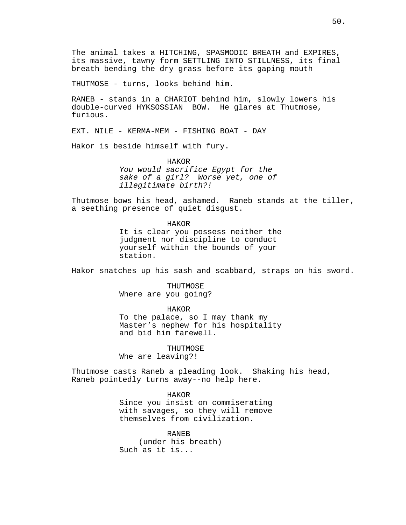THUTMOSE - turns, looks behind him.

RANEB - stands in a CHARIOT behind him, slowly lowers his double-curved HYKSOSSIAN BOW. He glares at Thutmose, furious.

EXT. NILE - KERMA-MEM - FISHING BOAT - DAY

Hakor is beside himself with fury.

HAKOR You would sacrifice Egypt for the sake of a girl? Worse yet, one of illegitimate birth?!

Thutmose bows his head, ashamed. Raneb stands at the tiller, a seething presence of quiet disgust.

> HAKOR It is clear you possess neither the judgment nor discipline to conduct yourself within the bounds of your station.

Hakor snatches up his sash and scabbard, straps on his sword.

THUTMOSE Where are you going?

HAKOR To the palace, so I may thank my Master's nephew for his hospitality and bid him farewell.

THUTMOSE Whe are leaving?!

Thutmose casts Raneb a pleading look. Shaking his head, Raneb pointedly turns away--no help here.

> HAKOR Since you insist on commiserating with savages, so they will remove themselves from civilization.

RANEB (under his breath) Such as it is...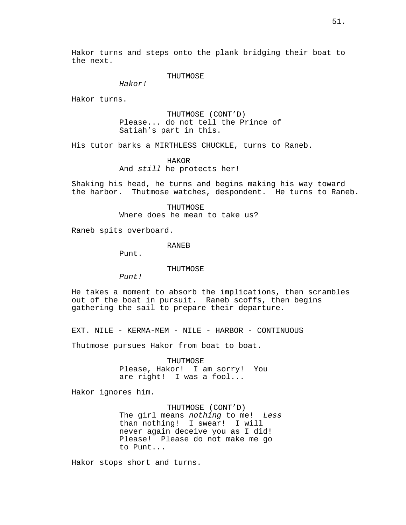Hakor turns and steps onto the plank bridging their boat to the next.

### THUTMOSE

Hakor!

Hakor turns.

THUTMOSE (CONT'D) Please... do not tell the Prince of Satiah's part in this.

His tutor barks a MIRTHLESS CHUCKLE, turns to Raneb.

### HAKOR

And still he protects her!

Shaking his head, he turns and begins making his way toward the harbor. Thutmose watches, despondent. He turns to Raneb.

> THUTMOSE Where does he mean to take us?

Raneb spits overboard.

# RANEB

Punt.

### THUTMOSE

Punt!

He takes a moment to absorb the implications, then scrambles out of the boat in pursuit. Raneb scoffs, then begins gathering the sail to prepare their departure.

EXT. NILE - KERMA-MEM - NILE - HARBOR - CONTINUOUS

Thutmose pursues Hakor from boat to boat.

THUTMOSE Please, Hakor! I am sorry! You are right! I was a fool...

Hakor ignores him.

THUTMOSE (CONT'D) The girl means nothing to me! Less than nothing! I swear! I will never again deceive you as I did! Please! Please do not make me go to Punt...

Hakor stops short and turns.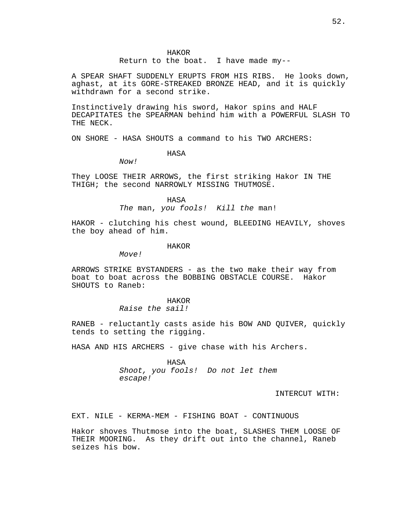Return to the boat. I have made my--

A SPEAR SHAFT SUDDENLY ERUPTS FROM HIS RIBS. He looks down, aghast, at its GORE-STREAKED BRONZE HEAD, and it is quickly withdrawn for a second strike.

Instinctively drawing his sword, Hakor spins and HALF DECAPITATES the SPEARMAN behind him with a POWERFUL SLASH TO THE NECK.

ON SHORE - HASA SHOUTS a command to his TWO ARCHERS:

HASA

Now!

They LOOSE THEIR ARROWS, the first striking Hakor IN THE THIGH; the second NARROWLY MISSING THUTMOSE.

> HASA The man, you fools! Kill the man!

HAKOR - clutching his chest wound, BLEEDING HEAVILY, shoves the boy ahead of him.

### HAKOR

 $M$ ove!

ARROWS STRIKE BYSTANDERS - as the two make their way from boat to boat across the BOBBING OBSTACLE COURSE. Hakor SHOUTS to Raneb:

### HAKOR

Raise the sail!

RANEB - reluctantly casts aside his BOW AND QUIVER, quickly tends to setting the rigging.

HASA AND HIS ARCHERS - give chase with his Archers.

HASA Shoot, you fools! Do not let them escape!

INTERCUT WITH:

EXT. NILE - KERMA-MEM - FISHING BOAT - CONTINUOUS

Hakor shoves Thutmose into the boat, SLASHES THEM LOOSE OF THEIR MOORING. As they drift out into the channel, Raneb seizes his bow.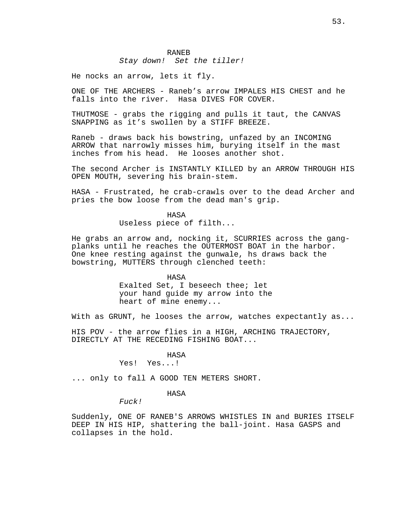### Stay down! Set the tiller!

He nocks an arrow, lets it fly.

ONE OF THE ARCHERS - Raneb's arrow IMPALES HIS CHEST and he falls into the river. Hasa DIVES FOR COVER.

THUTMOSE - grabs the rigging and pulls it taut, the CANVAS SNAPPING as it's swollen by a STIFF BREEZE.

Raneb - draws back his bowstring, unfazed by an INCOMING ARROW that narrowly misses him, burying itself in the mast inches from his head. He looses another shot.

The second Archer is INSTANTLY KILLED by an ARROW THROUGH HIS OPEN MOUTH, severing his brain-stem.

HASA - Frustrated, he crab-crawls over to the dead Archer and pries the bow loose from the dead man's grip.

# HASA

Useless piece of filth...

He grabs an arrow and, nocking it, SCURRIES across the gangplanks until he reaches the OUTERMOST BOAT in the harbor. One knee resting against the gunwale, hs draws back the bowstring, MUTTERS through clenched teeth:

> HASA Exalted Set, I beseech thee; let your hand guide my arrow into the heart of mine enemy...

With as GRUNT, he looses the arrow, watches expectantly as...

HIS POV - the arrow flies in a HIGH, ARCHING TRAJECTORY, DIRECTLY AT THE RECEDING FISHING BOAT...

# HASA

# Yes! Yes...!

... only to fall A GOOD TEN METERS SHORT.

### HASA

Fuck!

Suddenly, ONE OF RANEB'S ARROWS WHISTLES IN and BURIES ITSELF DEEP IN HIS HIP, shattering the ball-joint. Hasa GASPS and collapses in the hold.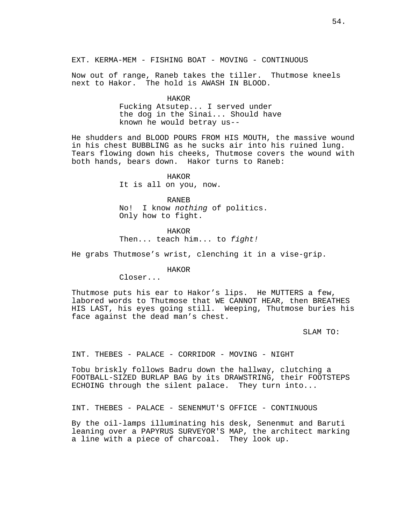EXT. KERMA-MEM - FISHING BOAT - MOVING - CONTINUOUS

Now out of range, Raneb takes the tiller. Thutmose kneels next to Hakor. The hold is AWASH IN BLOOD.

HAKOR

Fucking Atsutep... I served under the dog in the Sinai... Should have known he would betray us--

He shudders and BLOOD POURS FROM HIS MOUTH, the massive wound in his chest BUBBLING as he sucks air into his ruined lung. Tears flowing down his cheeks, Thutmose covers the wound with both hands, bears down. Hakor turns to Raneb:

> HAKOR It is all on you, now.

RANEB No! I know nothing of politics. Only how to fight.

HAKOR Then... teach him... to fight!

He grabs Thutmose's wrist, clenching it in a vise-grip.

HAKOR

Closer...

Thutmose puts his ear to Hakor's lips. He MUTTERS a few, labored words to Thutmose that WE CANNOT HEAR, then BREATHES HIS LAST, his eyes going still. Weeping, Thutmose buries his face against the dead man's chest.

SLAM TO:

INT. THEBES - PALACE - CORRIDOR - MOVING - NIGHT

Tobu briskly follows Badru down the hallway, clutching a FOOTBALL-SIZED BURLAP BAG by its DRAWSTRING, their FOOTSTEPS ECHOING through the silent palace. They turn into...

INT. THEBES - PALACE - SENENMUT'S OFFICE - CONTINUOUS

By the oil-lamps illuminating his desk, Senenmut and Baruti leaning over a PAPYRUS SURVEYOR'S MAP, the architect marking a line with a piece of charcoal. They look up.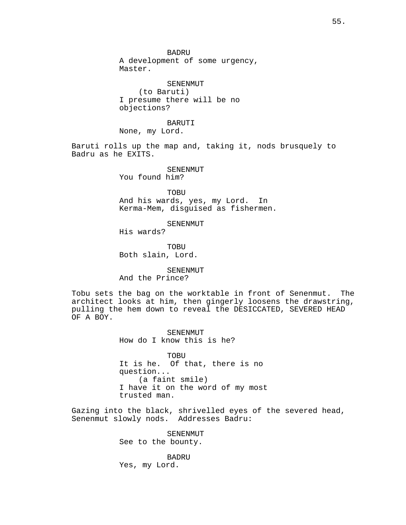BADRU

A development of some urgency, Master.

SENENMUT (to Baruti) I presume there will be no objections?

# BARUTI

None, my Lord.

Baruti rolls up the map and, taking it, nods brusquely to Badru as he EXITS.

### SENENMUT

You found him?

TOBU And his wards, yes, my Lord. In Kerma-Mem, disguised as fishermen.

# SENENMUT

His wards?

**TOBU** Both slain, Lord.

## SENENMUT And the Prince?

Tobu sets the bag on the worktable in front of Senenmut. The architect looks at him, then gingerly loosens the drawstring, pulling the hem down to reveal the DESICCATED, SEVERED HEAD OF A BOY.

> SENENMUT How do I know this is he?

TOBU It is he. Of that, there is no question... (a faint smile) I have it on the word of my most trusted man.

Gazing into the black, shrivelled eyes of the severed head, Senenmut slowly nods. Addresses Badru:

> SENENMUT See to the bounty.

BADRU Yes, my Lord.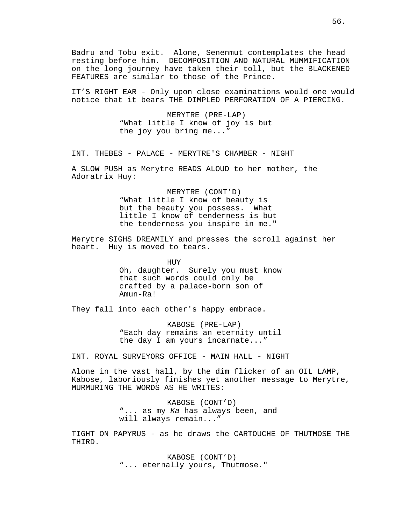Badru and Tobu exit. Alone, Senenmut contemplates the head resting before him. DECOMPOSITION AND NATURAL MUMMIFICATION on the long journey have taken their toll, but the BLACKENED FEATURES are similar to those of the Prince.

IT'S RIGHT EAR - Only upon close examinations would one would notice that it bears THE DIMPLED PERFORATION OF A PIERCING.

> MERYTRE (PRE-LAP) "What little I know of joy is but the joy you bring me..."

INT. THEBES - PALACE - MERYTRE'S CHAMBER - NIGHT

A SLOW PUSH as Merytre READS ALOUD to her mother, the Adoratrix Huy:

> MERYTRE (CONT'D) "What little I know of beauty is but the beauty you possess. What little I know of tenderness is but the tenderness you inspire in me."

Merytre SIGHS DREAMILY and presses the scroll against her heart. Huy is moved to tears.

> HUY Oh, daughter. Surely you must know that such words could only be crafted by a palace-born son of Amun-Ra!

They fall into each other's happy embrace.

KABOSE (PRE-LAP) "Each day remains an eternity until the day I am yours incarnate..."

INT. ROYAL SURVEYORS OFFICE - MAIN HALL - NIGHT

Alone in the vast hall, by the dim flicker of an OIL LAMP, Kabose, laboriously finishes yet another message to Merytre, MURMURING THE WORDS AS HE WRITES:

> KABOSE (CONT'D) "... as my Ka has always been, and will always remain..."

TIGHT ON PAPYRUS - as he draws the CARTOUCHE OF THUTMOSE THE THIRD.

> KABOSE (CONT'D) "... eternally yours, Thutmose."